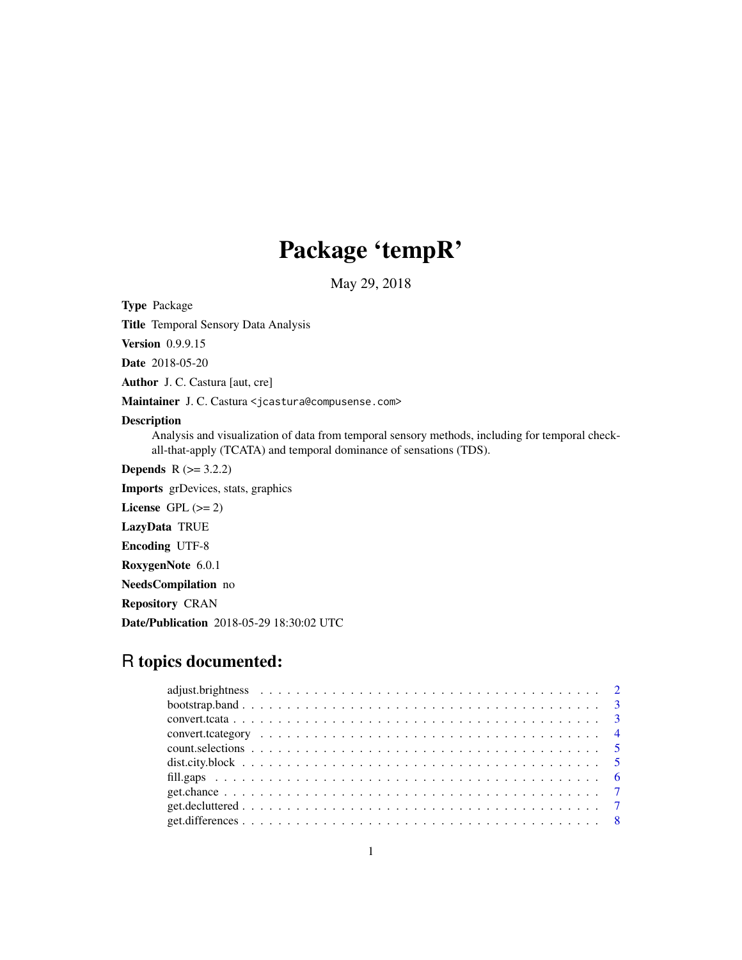# Package 'tempR'

May 29, 2018

<span id="page-0-0"></span>Type Package

Title Temporal Sensory Data Analysis

Version 0.9.9.15

Date 2018-05-20

Author J. C. Castura [aut, cre]

Maintainer J. C. Castura <jcastura@compusense.com>

# Description

Analysis and visualization of data from temporal sensory methods, including for temporal checkall-that-apply (TCATA) and temporal dominance of sensations (TDS).

**Depends**  $R (= 3.2.2)$ 

Imports grDevices, stats, graphics

License GPL  $(>= 2)$ 

LazyData TRUE

Encoding UTF-8

RoxygenNote 6.0.1

NeedsCompilation no

Repository CRAN

Date/Publication 2018-05-29 18:30:02 UTC

# R topics documented: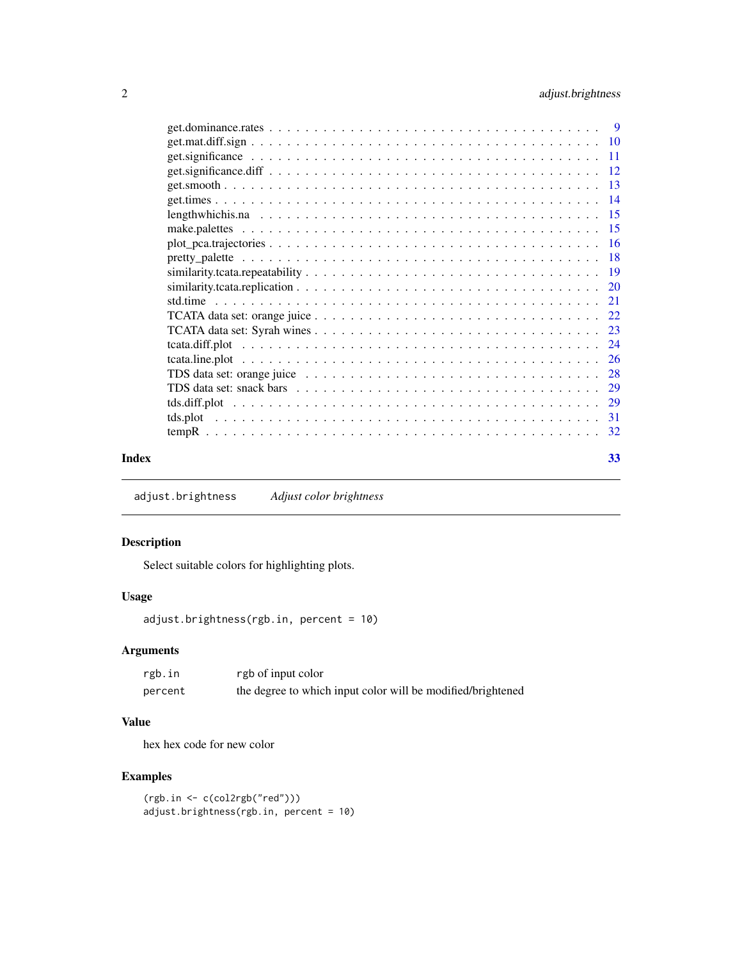# <span id="page-1-0"></span>2 adjust.brightness

|       | TDS data set: snack bars $\ldots \ldots \ldots \ldots \ldots \ldots \ldots \ldots \ldots \ldots \ldots \ldots \ldots 29$ |  |
|-------|--------------------------------------------------------------------------------------------------------------------------|--|
|       |                                                                                                                          |  |
|       |                                                                                                                          |  |
|       |                                                                                                                          |  |
| Index | 33                                                                                                                       |  |

adjust.brightness *Adjust color brightness*

# Description

Select suitable colors for highlighting plots.

# Usage

```
adjust.brightness(rgb.in, percent = 10)
```
# Arguments

| rgb.in  | rgb of input color                                          |
|---------|-------------------------------------------------------------|
| percent | the degree to which input color will be modified/brightened |

# Value

hex hex code for new color

```
(rgb.in <- c(col2rgb("red")))
adjust.brightness(rgb.in, percent = 10)
```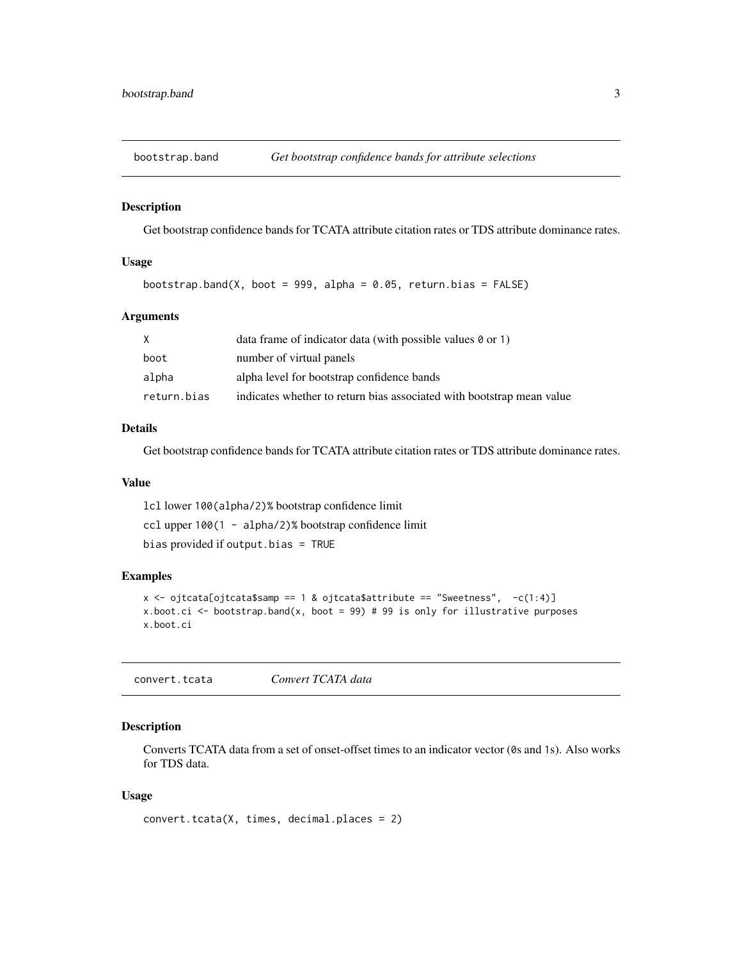<span id="page-2-0"></span>

# Description

Get bootstrap confidence bands for TCATA attribute citation rates or TDS attribute dominance rates.

# Usage

```
bootstrap.band(X, boot = 999, alpha = 0.05, return.bias = FALSE)
```
# Arguments

|             | data frame of indicator data (with possible values $\theta$ or 1)     |
|-------------|-----------------------------------------------------------------------|
| boot        | number of virtual panels                                              |
| alpha       | alpha level for bootstrap confidence bands                            |
| return.bias | indicates whether to return bias associated with bootstrap mean value |

# Details

Get bootstrap confidence bands for TCATA attribute citation rates or TDS attribute dominance rates.

#### Value

lcl lower 100(alpha/2)% bootstrap confidence limit ccl upper 100(1 - alpha/2)% bootstrap confidence limit bias provided if output.bias = TRUE

#### Examples

```
x \leq - ojtcata[ojtcata$samp == 1 & ojtcata$attribute == "Sweetness", -c(1:4)]
x.boot.ci \leq bootstrap.band(x, boot = 99) # 99 is only for illustrative purposes
x.boot.ci
```
convert.tcata *Convert TCATA data*

# Description

Converts TCATA data from a set of onset-offset times to an indicator vector (0s and 1s). Also works for TDS data.

# Usage

```
convert.tcata(X, times, decimal.places = 2)
```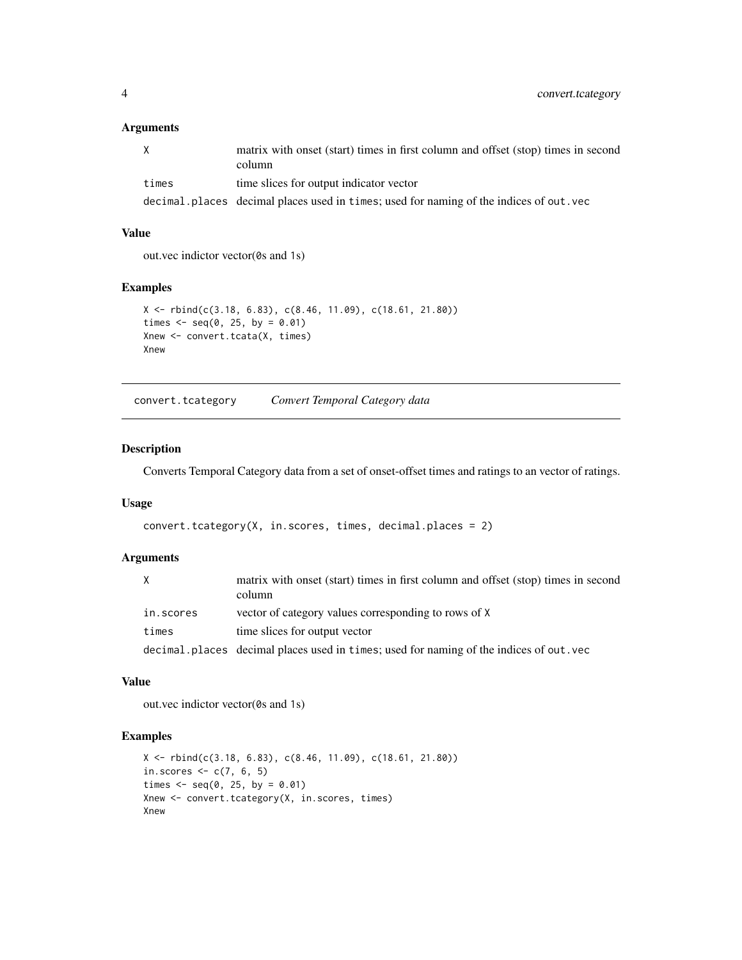<span id="page-3-0"></span>

|       | matrix with onset (start) times in first column and offset (stop) times in second<br>column |
|-------|---------------------------------------------------------------------------------------------|
| times | time slices for output indicator vector                                                     |
|       | decimal.places decimal places used in times; used for naming of the indices of out.vec      |

# Value

out.vec indictor vector(0s and 1s)

# Examples

```
X \le rbind(c(3.18, 6.83), c(8.46, 11.09), c(18.61, 21.80))
times \leq seq(0, 25, by = 0.01)
Xnew <- convert.tcata(X, times)
Xnew
```
convert.tcategory *Convert Temporal Category data*

# Description

Converts Temporal Category data from a set of onset-offset times and ratings to an vector of ratings.

#### Usage

```
convert.tcategory(X, in.scores, times, decimal.places = 2)
```
# Arguments

| X         | matrix with onset (start) times in first column and offset (stop) times in second<br>column |
|-----------|---------------------------------------------------------------------------------------------|
| in.scores | vector of category values corresponding to rows of X                                        |
| times     | time slices for output vector                                                               |
|           | decimal places decimal places used in times; used for naming of the indices of out . vec    |

#### Value

out.vec indictor vector(0s and 1s)

```
X <- rbind(c(3.18, 6.83), c(8.46, 11.09), c(18.61, 21.80))
in.scores \leq c(7, 6, 5)times \leq - seq(0, 25, by = 0.01)
Xnew <- convert.tcategory(X, in.scores, times)
Xnew
```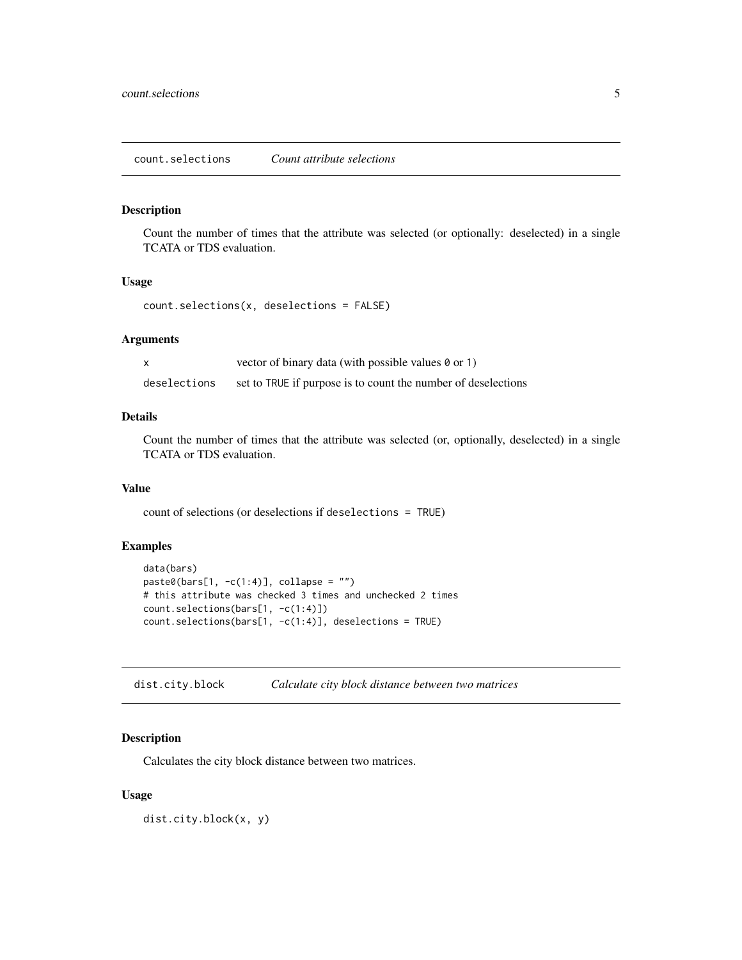#### <span id="page-4-0"></span>Description

Count the number of times that the attribute was selected (or optionally: deselected) in a single TCATA or TDS evaluation.

# Usage

```
count.selections(x, deselections = FALSE)
```
# Arguments

|              | vector of binary data (with possible values 0 or 1)           |
|--------------|---------------------------------------------------------------|
| deselections | set to TRUE if purpose is to count the number of deselections |

# Details

Count the number of times that the attribute was selected (or, optionally, deselected) in a single TCATA or TDS evaluation.

# Value

count of selections (or deselections if deselections = TRUE)

# Examples

```
data(bars)
paste0(bars[1, -c(1:4)], collapse = "")# this attribute was checked 3 times and unchecked 2 times
count.selections(bars[1, -c(1:4)])
count.selections(bars[1, -c(1:4)], deselections = TRUE)
```
dist.city.block *Calculate city block distance between two matrices*

#### Description

Calculates the city block distance between two matrices.

# Usage

dist.city.block(x, y)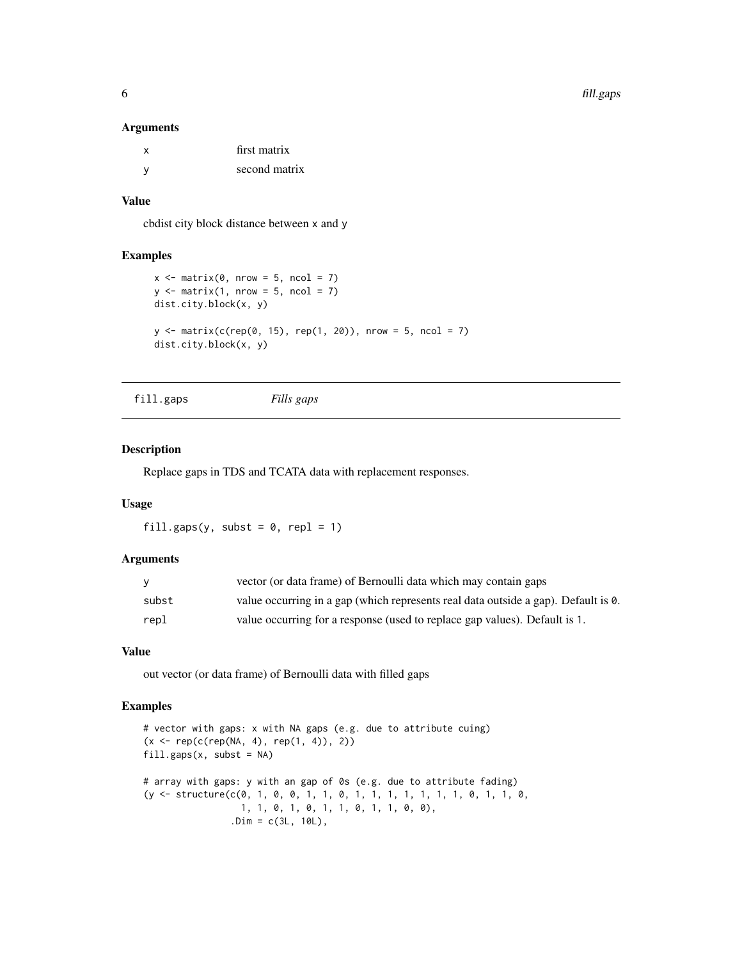| first matrix  |
|---------------|
| second matrix |

# Value

cbdist city block distance between x and y

# Examples

```
x \le matrix(0, nrow = 5, ncol = 7)
y \le - matrix(1, nrow = 5, ncol = 7)
dist.city.block(x, y)
y \le - matrix(c(rep(0, 15), rep(1, 20)), nrow = 5, ncol = 7)
dist.city.block(x, y)
```
fill.gaps *Fills gaps*

# Description

Replace gaps in TDS and TCATA data with replacement responses.

# Usage

fill.gaps(y, subst =  $0$ , repl = 1)

# Arguments

| V     | vector (or data frame) of Bernoulli data which may contain gaps                    |
|-------|------------------------------------------------------------------------------------|
| subst | value occurring in a gap (which represents real data outside a gap). Default is 0. |
| repl  | value occurring for a response (used to replace gap values). Default is 1.         |

# Value

out vector (or data frame) of Bernoulli data with filled gaps

```
# vector with gaps: x with NA gaps (e.g. due to attribute cuing)
(x \leq rep(c(rep(NA, 4), rep(1, 4)), 2))fill.gaps(x, subset = NA)# array with gaps: y with an gap of 0s (e.g. due to attribute fading)
(y <- structure(c(0, 1, 0, 0, 1, 1, 0, 1, 1, 1, 1, 1, 1, 1, 0, 1, 1, 0,
                 1, 1, 0, 1, 0, 1, 1, 0, 1, 1, 0, 0),
                .Dim = c(3L, 10L),
```
<span id="page-5-0"></span>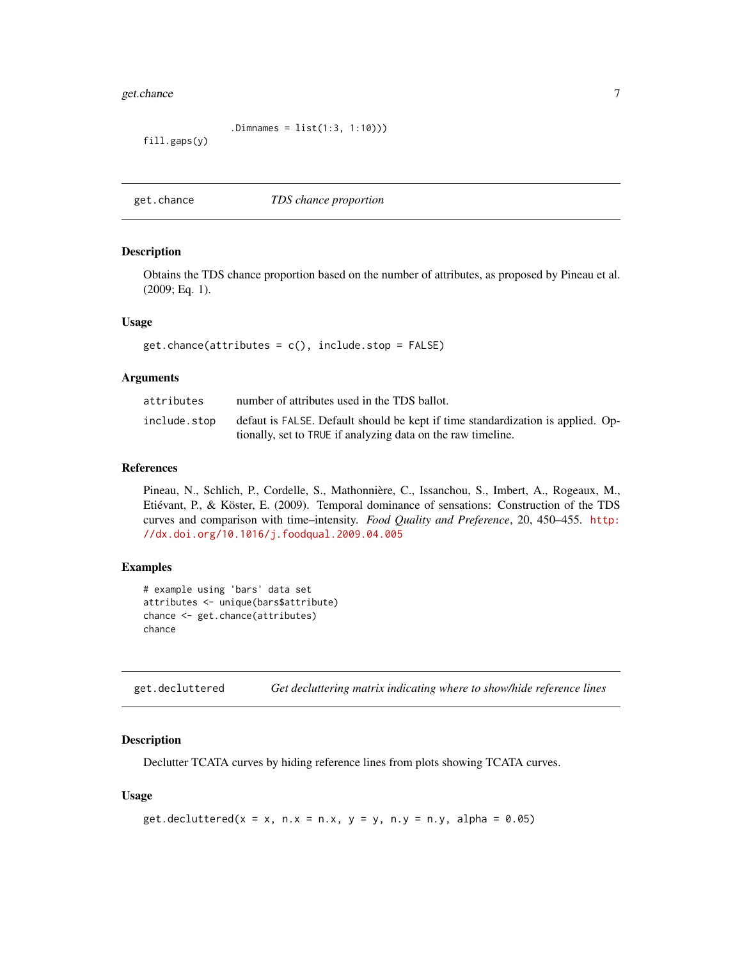#### <span id="page-6-0"></span>get.chance 7

.Dimnames = list(1:3, 1:10)))

fill.gaps(y)

<span id="page-6-1"></span>get.chance *TDS chance proportion*

# Description

Obtains the TDS chance proportion based on the number of attributes, as proposed by Pineau et al. (2009; Eq. 1).

# Usage

get.chance(attributes = c(), include.stop = FALSE)

#### Arguments

| attributes   | number of attributes used in the TDS ballot.                                                                                                    |
|--------------|-------------------------------------------------------------------------------------------------------------------------------------------------|
| include.stop | defaut is FALSE. Default should be kept if time standardization is applied. Op-<br>tionally, set to TRUE if analyzing data on the raw timeline. |

# References

Pineau, N., Schlich, P., Cordelle, S., Mathonnière, C., Issanchou, S., Imbert, A., Rogeaux, M., Etiévant, P., & Köster, E. (2009). Temporal dominance of sensations: Construction of the TDS curves and comparison with time–intensity. *Food Quality and Preference*, 20, 450–455. [http:](http://dx.doi.org/10.1016/j.foodqual.2009.04.005) [//dx.doi.org/10.1016/j.foodqual.2009.04.005](http://dx.doi.org/10.1016/j.foodqual.2009.04.005)

# Examples

```
# example using 'bars' data set
attributes <- unique(bars$attribute)
chance <- get.chance(attributes)
chance
```
get.decluttered *Get decluttering matrix indicating where to show/hide reference lines*

# Description

Declutter TCATA curves by hiding reference lines from plots showing TCATA curves.

#### Usage

```
get.decluttered(x = x, n.x = n.x, y = y, n.y = n.y, alpha = 0.05)
```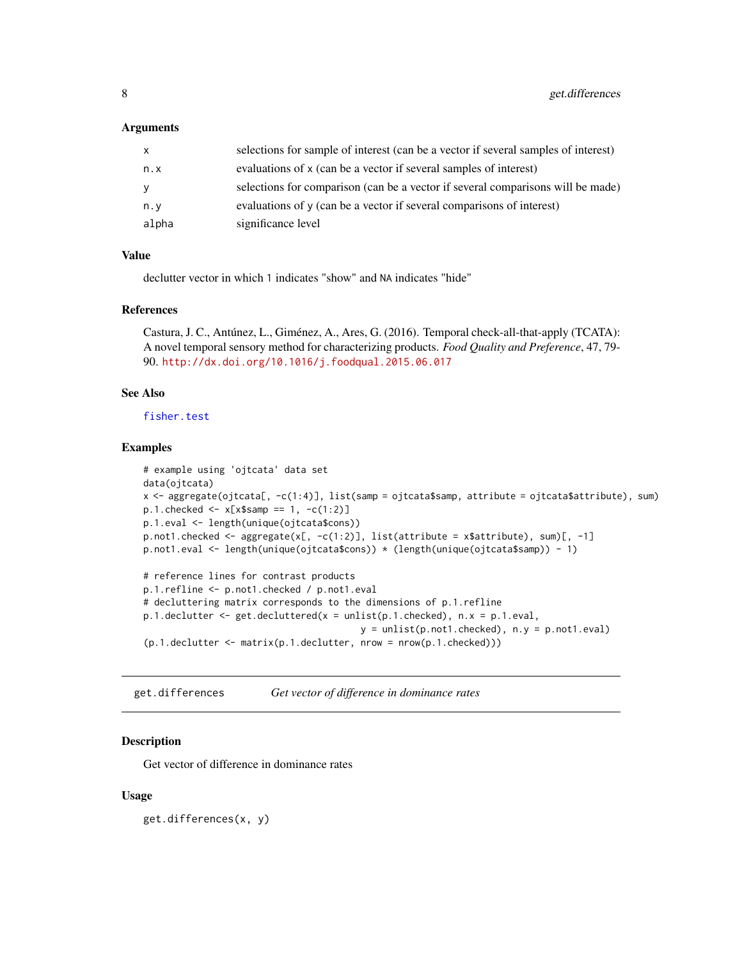<span id="page-7-0"></span>

| x.    | selections for sample of interest (can be a vector if several samples of interest) |
|-------|------------------------------------------------------------------------------------|
| n.x   | evaluations of x (can be a vector if several samples of interest)                  |
| v     | selections for comparison (can be a vector if several comparisons will be made)    |
| n.v   | evaluations of y (can be a vector if several comparisons of interest)              |
| alpha | significance level                                                                 |

#### Value

declutter vector in which 1 indicates "show" and NA indicates "hide"

# References

Castura, J. C., Antúnez, L., Giménez, A., Ares, G. (2016). Temporal check-all-that-apply (TCATA): A novel temporal sensory method for characterizing products. *Food Quality and Preference*, 47, 79- 90. <http://dx.doi.org/10.1016/j.foodqual.2015.06.017>

# See Also

[fisher.test](#page-0-0)

# Examples

```
# example using 'ojtcata' data set
data(ojtcata)
x <- aggregate(ojtcata[, -c(1:4)], list(samp = ojtcata$samp, attribute = ojtcata$attribute), sum)
p.1.checked <- x[x$samp == 1, -c(1:2)]
p.1.eval <- length(unique(ojtcata$cons))
p.not1.checked <- aggregate(x[, -c(1:2)], list(attribute = x$attribute), sum[, -1]p.not1.eval <- length(unique(ojtcata$cons)) * (length(unique(ojtcata$samp)) - 1)
# reference lines for contrast products
p.1.refline <- p.not1.checked / p.not1.eval
# decluttering matrix corresponds to the dimensions of p.1.refline
p.1.declutter \leq get.decluttered(x = unlist(p.1.checked), n.x = p.1.eval,
                                          y = \text{unlist}(p.\text{not1}. \text{checked}), n.y = p.\text{not1.} \text{eval})(p.1.declutter <- matrix(p.1.declutter, nrow = nrow(p.1.checked)))
```
get.differences *Get vector of difference in dominance rates*

# **Description**

Get vector of difference in dominance rates

# Usage

get.differences(x, y)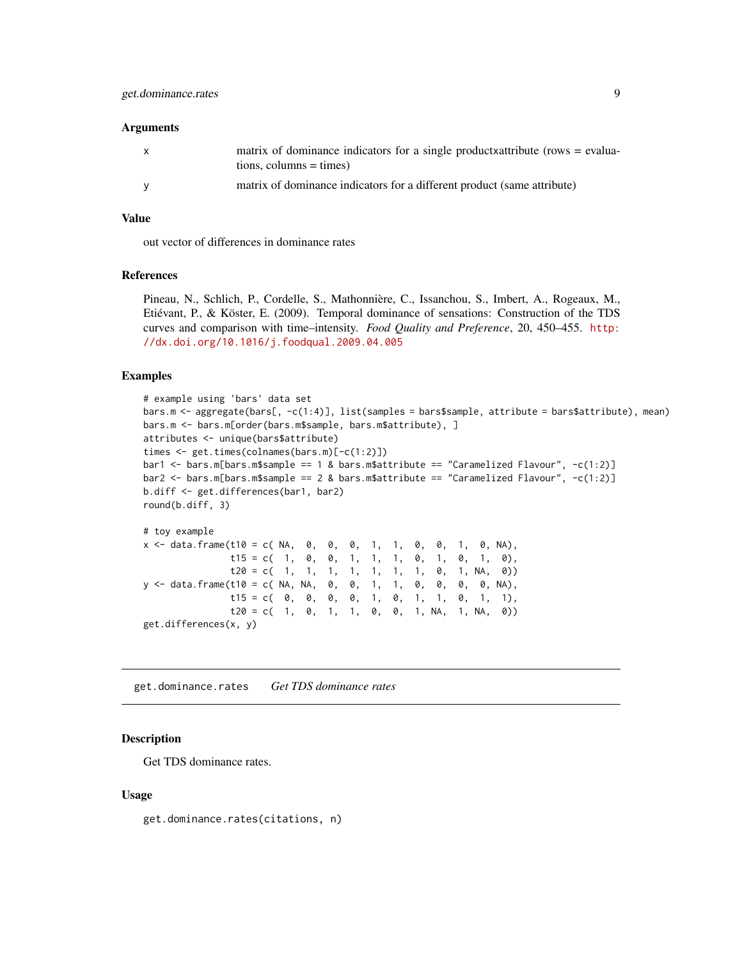<span id="page-8-0"></span>

| X | matrix of dominance indicators for a single product vality liquid (rows = evalua-<br>$tions, columns = times)$ |
|---|----------------------------------------------------------------------------------------------------------------|
|   | matrix of dominance indicators for a different product (same attribute)                                        |

# Value

out vector of differences in dominance rates

#### References

Pineau, N., Schlich, P., Cordelle, S., Mathonnière, C., Issanchou, S., Imbert, A., Rogeaux, M., Etiévant, P., & Köster, E. (2009). Temporal dominance of sensations: Construction of the TDS curves and comparison with time–intensity. *Food Quality and Preference*, 20, 450–455. [http:](http://dx.doi.org/10.1016/j.foodqual.2009.04.005) [//dx.doi.org/10.1016/j.foodqual.2009.04.005](http://dx.doi.org/10.1016/j.foodqual.2009.04.005)

# Examples

```
# example using 'bars' data set
bars.m <- aggregate(bars[, -c(1:4)], list(samples = bars$sample, attribute = bars$attribute), mean)
bars.m <- bars.m[order(bars.m$sample, bars.m$attribute), ]
attributes <- unique(bars$attribute)
times <- get.times(colnames(bars.m)[-c(1:2)])
bar1 \le bars.m[bars.m$sample == 1 & bars.m$attribute == "Caramelized Flavour", -c(1:2)]
bar2 <- bars.m[bars.m$sample == 2 & bars.m$attribute == "Caramelized Flavour", -c(1:2)]
b.diff <- get.differences(bar1, bar2)
round(b.diff, 3)
# toy example
x <- data.frame(t10 = c( NA, 0, 0, 0, 1, 1, 0, 0, 1, 0, NA),
               t15 = c( 1, 0, 0, 1, 1, 0, 1, 0, 1, 0),
               t20 = c( 1, 1, 1, 1, 1, 1, 1, 1, 0, 1, NA, 0)y <- data.frame(t10 = c( NA, NA, 0, 0, 1, 1, 0, 0, 0, 0, NA),
               t15 = c ( 0, 0, 0, 0, 1, 0, 1, 1, 0, 1, 1),
               t20 = c( 1, 0, 1, 1, 0, 0, 1, NA, 1, NA, 0)get.differences(x, y)
```
get.dominance.rates *Get TDS dominance rates*

#### Description

Get TDS dominance rates.

#### Usage

get.dominance.rates(citations, n)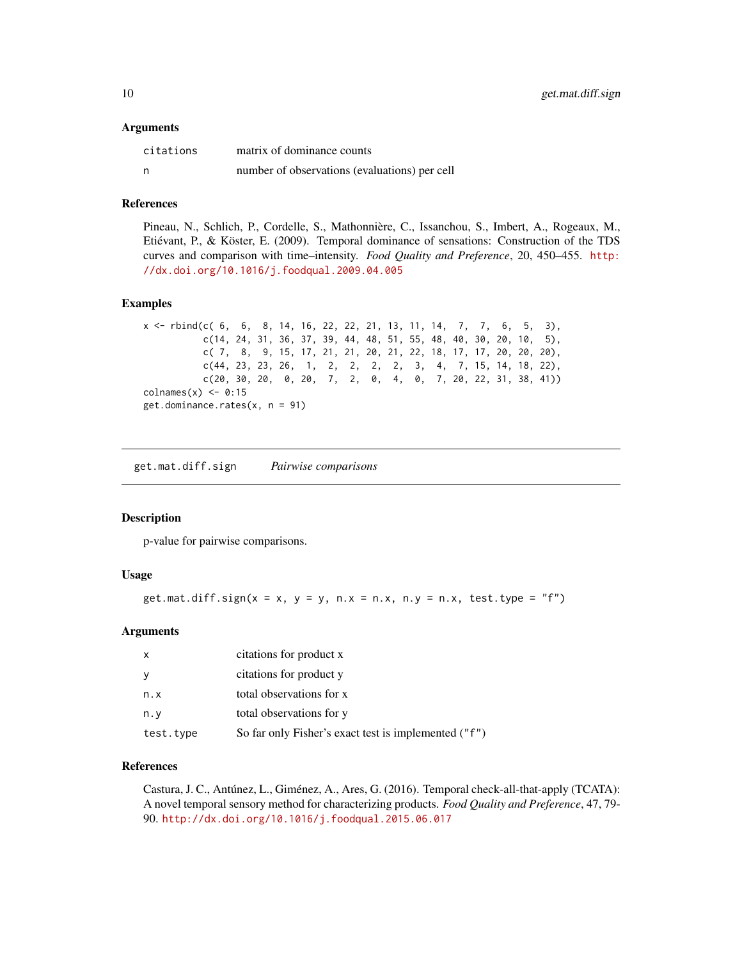<span id="page-9-0"></span>

| citations | matrix of dominance counts                    |
|-----------|-----------------------------------------------|
| n         | number of observations (evaluations) per cell |

# References

Pineau, N., Schlich, P., Cordelle, S., Mathonnière, C., Issanchou, S., Imbert, A., Rogeaux, M., Etiévant, P., & Köster, E. (2009). Temporal dominance of sensations: Construction of the TDS curves and comparison with time–intensity. *Food Quality and Preference*, 20, 450–455. [http:](http://dx.doi.org/10.1016/j.foodqual.2009.04.005) [//dx.doi.org/10.1016/j.foodqual.2009.04.005](http://dx.doi.org/10.1016/j.foodqual.2009.04.005)

### Examples

```
x <- rbind(c( 6, 6, 8, 14, 16, 22, 22, 21, 13, 11, 14, 7, 7, 6, 5, 3),
          c(14, 24, 31, 36, 37, 39, 44, 48, 51, 55, 48, 40, 30, 20, 10, 5),
          c( 7, 8, 9, 15, 17, 21, 21, 20, 21, 22, 18, 17, 17, 20, 20, 20),
          c(44, 23, 23, 26, 1, 2, 2, 2, 2, 3, 4, 7, 15, 14, 18, 22),
          c(20, 30, 20, 0, 20, 7, 2, 0, 4, 0, 7, 20, 22, 31, 38, 41))
collnames(x) \leftarrow 0:15get.dominance.rates(x, n = 91)
```
get.mat.diff.sign *Pairwise comparisons*

#### Description

p-value for pairwise comparisons.

# Usage

```
get.mat.diff.sign(x = x, y = y, n.x = n.x, n.y = n.x, test.type = "f")
```
#### Arguments

| $\mathsf{x}$ | citations for product x                              |
|--------------|------------------------------------------------------|
| <sub>V</sub> | citations for product y                              |
| n.x          | total observations for x                             |
| n.v          | total observations for y                             |
| test.type    | So far only Fisher's exact test is implemented ("f") |

# References

Castura, J. C., Antúnez, L., Giménez, A., Ares, G. (2016). Temporal check-all-that-apply (TCATA): A novel temporal sensory method for characterizing products. *Food Quality and Preference*, 47, 79- 90. <http://dx.doi.org/10.1016/j.foodqual.2015.06.017>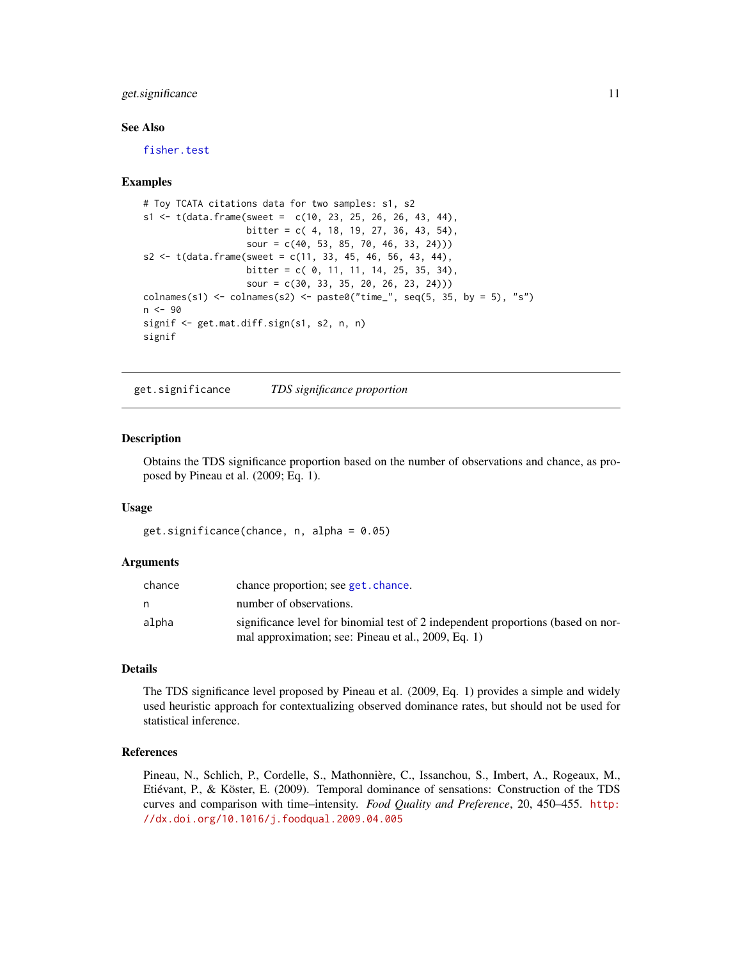# <span id="page-10-0"></span>get.significance 11

# See Also

[fisher.test](#page-0-0)

#### Examples

```
# Toy TCATA citations data for two samples: s1, s2
s1 \leq t (data.frame(sweet = c(10, 23, 25, 26, 26, 43, 44),
                   bitter = c( 4, 18, 19, 27, 36, 43, 54),
                   sour = c(40, 53, 85, 70, 46, 33, 24)))
s2 \leq t(data.frame(sweet = c(11, 33, 45, 46, 56, 43, 44),
                   bitter = c( 0, 11, 11, 14, 25, 35, 34),
                   sour = c(30, 33, 35, 20, 26, 23, 24)))
colnames(s1) \le colnames(s2) \le paste0("time_", seq(5, 35, by = 5), "s")
n < -90signif <- get.mat.diff.sign(s1, s2, n, n)
signif
```
get.significance *TDS significance proportion*

# Description

Obtains the TDS significance proportion based on the number of observations and chance, as proposed by Pineau et al. (2009; Eq. 1).

#### Usage

```
get.significance(chance, n, alpha = 0.05)
```
#### Arguments

| chance | chance proportion; see get, chance.                                                                                                     |
|--------|-----------------------------------------------------------------------------------------------------------------------------------------|
| n      | number of observations.                                                                                                                 |
| alpha  | significance level for binomial test of 2 independent proportions (based on nor-<br>mal approximation; see: Pineau et al., 2009, Eq. 1) |

#### Details

The TDS significance level proposed by Pineau et al. (2009, Eq. 1) provides a simple and widely used heuristic approach for contextualizing observed dominance rates, but should not be used for statistical inference.

# References

Pineau, N., Schlich, P., Cordelle, S., Mathonnière, C., Issanchou, S., Imbert, A., Rogeaux, M., Etiévant, P., & Köster, E. (2009). Temporal dominance of sensations: Construction of the TDS curves and comparison with time–intensity. *Food Quality and Preference*, 20, 450–455. [http:](http://dx.doi.org/10.1016/j.foodqual.2009.04.005) [//dx.doi.org/10.1016/j.foodqual.2009.04.005](http://dx.doi.org/10.1016/j.foodqual.2009.04.005)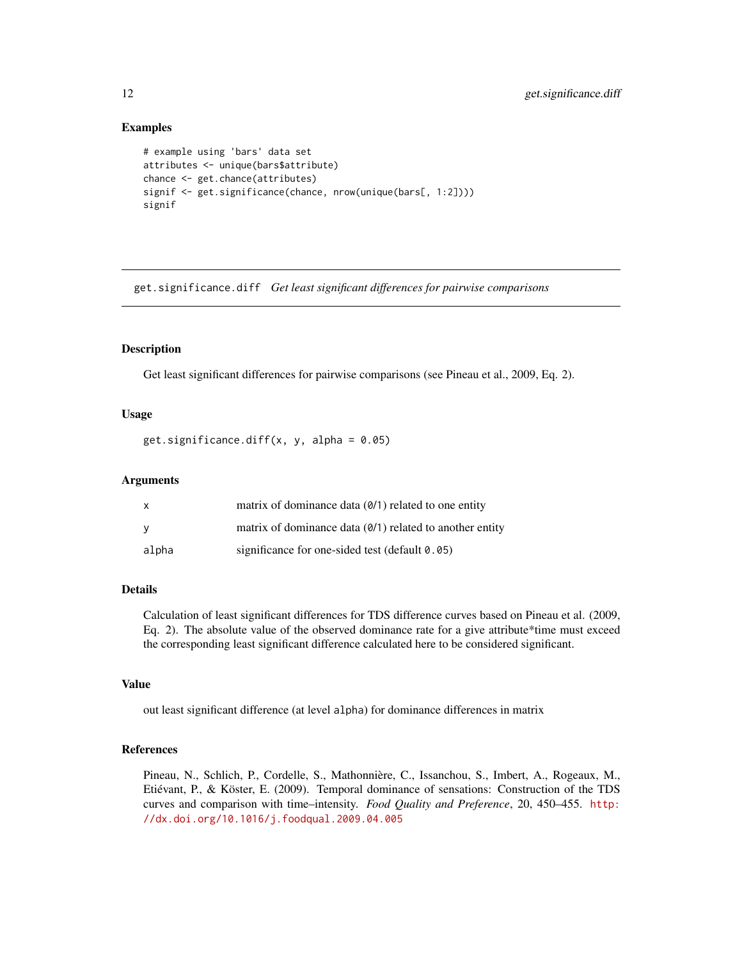# Examples

```
# example using 'bars' data set
attributes <- unique(bars$attribute)
chance <- get.chance(attributes)
signif <- get.significance(chance, nrow(unique(bars[, 1:2])))
signif
```
get.significance.diff *Get least significant differences for pairwise comparisons*

# Description

Get least significant differences for pairwise comparisons (see Pineau et al., 2009, Eq. 2).

# Usage

get.significance.diff(x, y, alpha =  $0.05$ )

# Arguments

| X     | matrix of dominance data $(0/1)$ related to one entity     |
|-------|------------------------------------------------------------|
| v     | matrix of dominance data $(0/1)$ related to another entity |
| alpha | significance for one-sided test (default 0.05)             |

# Details

Calculation of least significant differences for TDS difference curves based on Pineau et al. (2009, Eq. 2). The absolute value of the observed dominance rate for a give attribute\*time must exceed the corresponding least significant difference calculated here to be considered significant.

#### Value

out least significant difference (at level alpha) for dominance differences in matrix

# References

Pineau, N., Schlich, P., Cordelle, S., Mathonnière, C., Issanchou, S., Imbert, A., Rogeaux, M., Etiévant, P., & Köster, E. (2009). Temporal dominance of sensations: Construction of the TDS curves and comparison with time–intensity. *Food Quality and Preference*, 20, 450–455. [http:](http://dx.doi.org/10.1016/j.foodqual.2009.04.005) [//dx.doi.org/10.1016/j.foodqual.2009.04.005](http://dx.doi.org/10.1016/j.foodqual.2009.04.005)

<span id="page-11-0"></span>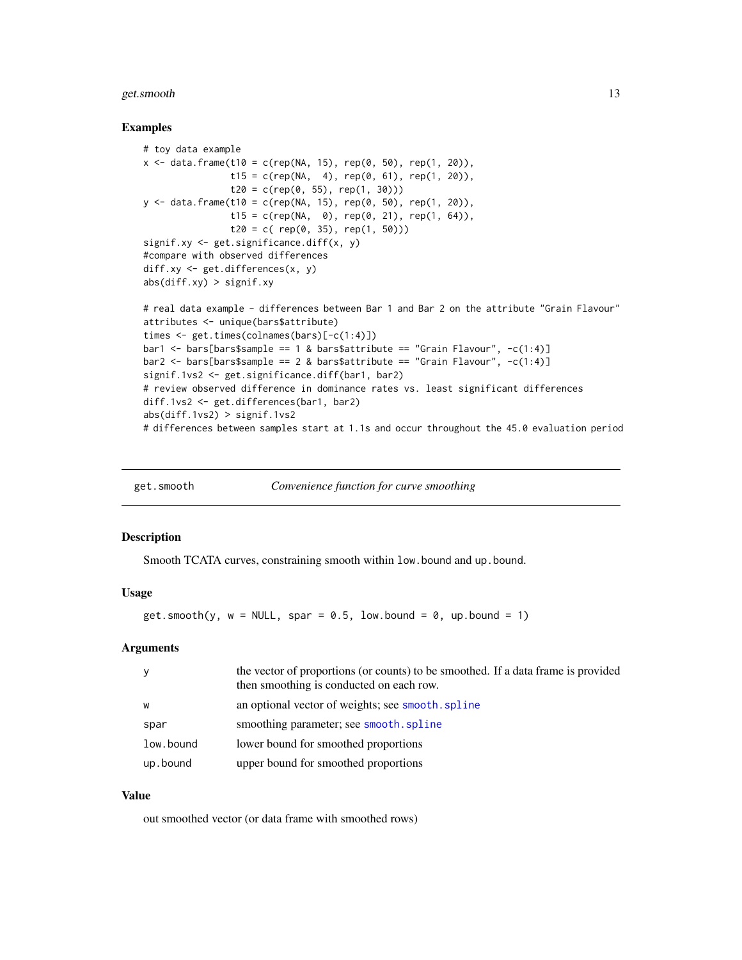#### <span id="page-12-0"></span>get.smooth 13

### Examples

```
# toy data example
x \le - data.frame(t10 = c(rep(NA, 15), rep(0, 50), rep(1, 20)),
                t15 = c(rep(NA, 4), rep(0, 61), rep(1, 20)),t20 = c(rep(0, 55), rep(1, 30)))y \le - data.frame(t10 = c(rep(NA, 15), rep(0, 50), rep(1, 20)),
                t15 = c(rep(NA, 0), rep(0, 21), rep(1, 64)),
                t20 = c( rep(0, 35), rep(1, 50)))
signif.xy <- get.significance.diff(x, y)
#compare with observed differences
diff.xy <- get.differences(x, y)
abs(diff.xy) > signif.xy
# real data example - differences between Bar 1 and Bar 2 on the attribute "Grain Flavour"
attributes <- unique(bars$attribute)
times <- get.times(colnames(bars)[-c(1:4)])
bar1 <- bars[bars$sample == 1 & bars$attribute == "Grain Flavour", -c(1:4)]
bar2 <- bars[bars$sample == 2 & bars$attribute == "Grain Flavour", -c(1:4)]
signif.1vs2 <- get.significance.diff(bar1, bar2)
# review observed difference in dominance rates vs. least significant differences
diff.1vs2 <- get.differences(bar1, bar2)
abs(diff.1vs2) > signif.1vs2
# differences between samples start at 1.1s and occur throughout the 45.0 evaluation period
```

| get.smooth |  | Convenience function for curve smoothing |
|------------|--|------------------------------------------|
|            |  |                                          |

#### Description

Smooth TCATA curves, constraining smooth within low.bound and up.bound.

# Usage

```
get.smooth(y, w = NULL, spare = 0.5, low.bound = 0, up.bound = 1)
```
# Arguments

| y         | the vector of proportions (or counts) to be smoothed. If a data frame is provided<br>then smoothing is conducted on each row. |
|-----------|-------------------------------------------------------------------------------------------------------------------------------|
| W         | an optional vector of weights; see smooth. spline                                                                             |
| spar      | smoothing parameter; see smooth. spline                                                                                       |
| low.bound | lower bound for smoothed proportions                                                                                          |
| up.bound  | upper bound for smoothed proportions                                                                                          |

# Value

out smoothed vector (or data frame with smoothed rows)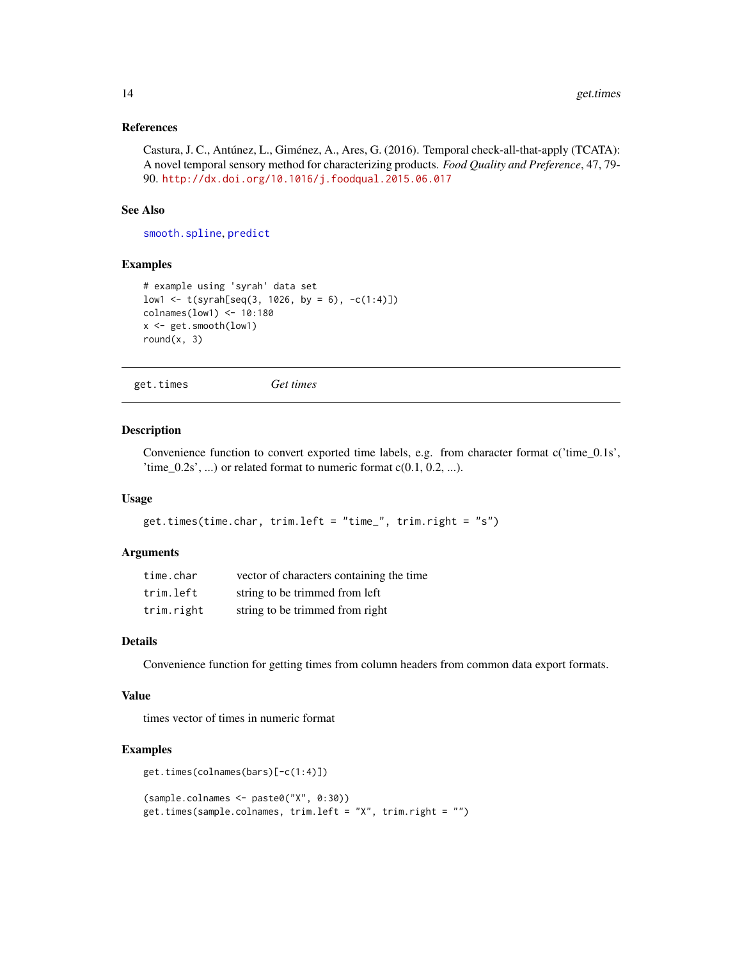# <span id="page-13-0"></span>References

Castura, J. C., Antúnez, L., Giménez, A., Ares, G. (2016). Temporal check-all-that-apply (TCATA): A novel temporal sensory method for characterizing products. *Food Quality and Preference*, 47, 79- 90. <http://dx.doi.org/10.1016/j.foodqual.2015.06.017>

# See Also

[smooth.spline](#page-0-0), [predict](#page-0-0)

# Examples

```
# example using 'syrah' data set
low1 \leftarrow t(syrah[seq(3, 1026, by = 6), -c(1:4)]colnames(low1) <- 10:180
x <- get.smooth(low1)
round(x, 3)
```

```
get.times Get times
```
#### Description

Convenience function to convert exported time labels, e.g. from character format c('time\_0.1s', 'time\_0.2s', ...) or related format to numeric format  $c(0.1, 0.2, ...)$ .

# Usage

```
get.times(time.char, trim.left = "time_", trim.right = "s")
```
# Arguments

| time.char  | vector of characters containing the time |
|------------|------------------------------------------|
| trim.left  | string to be trimmed from left           |
| trim.right | string to be trimmed from right          |

# Details

Convenience function for getting times from column headers from common data export formats.

# Value

times vector of times in numeric format

```
get.times(colnames(bars)[-c(1:4)])
```

```
(sample.colnames <- paste0("X", 0:30))
get.times(sample.colnames, trim.left = "X", trim.right = "")
```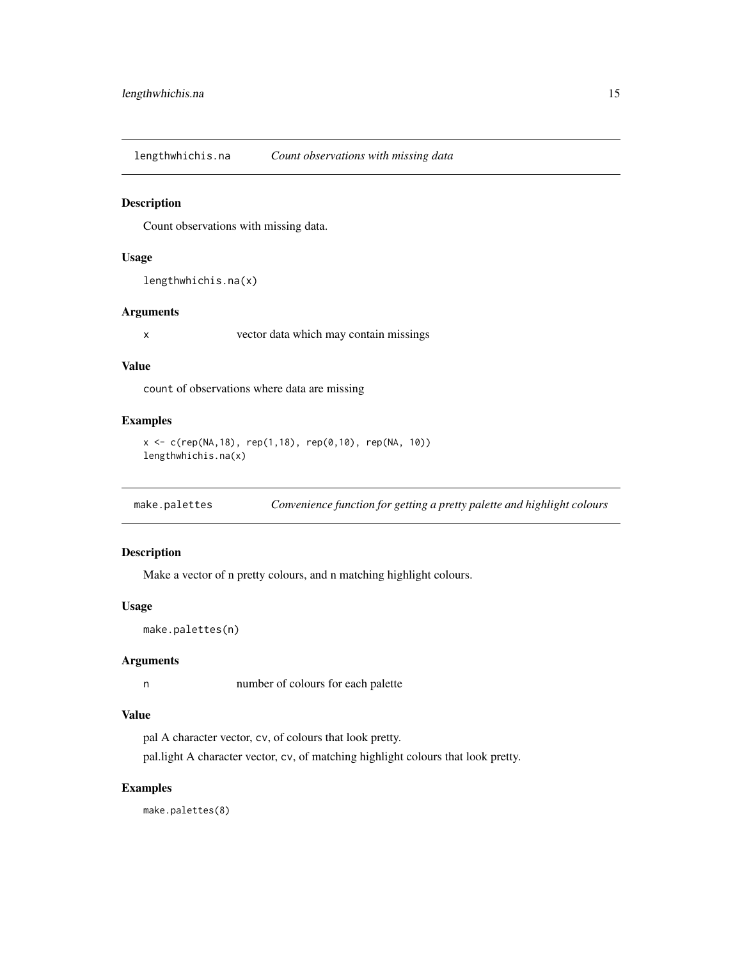<span id="page-14-0"></span>lengthwhichis.na *Count observations with missing data*

#### Description

Count observations with missing data.

#### Usage

```
lengthwhichis.na(x)
```
# Arguments

x vector data which may contain missings

# Value

count of observations where data are missing

# Examples

```
x \leq c (rep(NA,18), rep(1,18), rep(0,10), rep(NA, 10))
lengthwhichis.na(x)
```
make.palettes *Convenience function for getting a pretty palette and highlight colours*

# Description

Make a vector of n pretty colours, and n matching highlight colours.

# Usage

```
make.palettes(n)
```
# Arguments

n number of colours for each palette

# Value

pal A character vector, cv, of colours that look pretty.

pal.light A character vector, cv, of matching highlight colours that look pretty.

# Examples

make.palettes(8)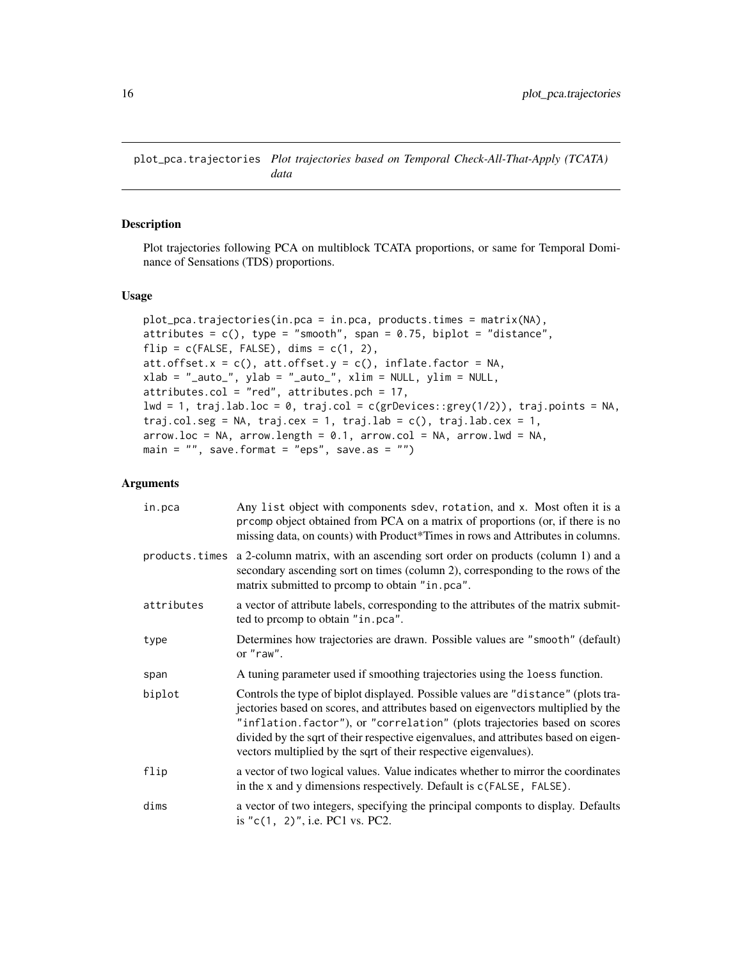<span id="page-15-0"></span>plot\_pca.trajectories *Plot trajectories based on Temporal Check-All-That-Apply (TCATA) data*

# Description

Plot trajectories following PCA on multiblock TCATA proportions, or same for Temporal Dominance of Sensations (TDS) proportions.

## Usage

```
plot_pca.trajectories(in.pca = in.pca, products.times = matrix(NA),
attributes = c(), type = "smooth", span = 0.75, biplot = "distance",
flip = c(FALE, FALSE), dims = c(1, 2),att.offset.x = c(), att.offset.y = c(), inflate.factor = NA,xlab = "_auto_", ylab = "_auto_", xlim = NULL, ylim = NULL,
attributes.col = "red", attributes.pch = 17,
lwd = 1, traj.lab.loc = 0, traj.col = c(grDevices::grey(1/2)), traj.points = NA,
traj.col.seg = NA, traj.cex = 1, traj.lab = c(), traj.lab.cex = 1,
arrow. loc = NA, arrow. length = 0.1, arrow. col = NA, arrow. lwd = NA,
main = ", save.format = "eps", save.as = ")
```
# **Arguments**

| in.pca     | Any list object with components sdev, rotation, and x. Most often it is a<br>prcomp object obtained from PCA on a matrix of proportions (or, if there is no<br>missing data, on counts) with Product*Times in rows and Attributes in columns.                                                                                                                                                                  |
|------------|----------------------------------------------------------------------------------------------------------------------------------------------------------------------------------------------------------------------------------------------------------------------------------------------------------------------------------------------------------------------------------------------------------------|
|            | products times a 2-column matrix, with an ascending sort order on products (column 1) and a<br>secondary ascending sort on times (column 2), corresponding to the rows of the<br>matrix submitted to promp to obtain "in.pca".                                                                                                                                                                                 |
| attributes | a vector of attribute labels, corresponding to the attributes of the matrix submit-<br>ted to promp to obtain "in.pca".                                                                                                                                                                                                                                                                                        |
| type       | Determines how trajectories are drawn. Possible values are "smooth" (default)<br>or "raw".                                                                                                                                                                                                                                                                                                                     |
| span       | A tuning parameter used if smoothing trajectories using the loess function.                                                                                                                                                                                                                                                                                                                                    |
| biplot     | Controls the type of biplot displayed. Possible values are "distance" (plots tra-<br>jectories based on scores, and attributes based on eigenvectors multiplied by the<br>"inflation.factor"), or "correlation" (plots trajectories based on scores<br>divided by the sqrt of their respective eigenvalues, and attributes based on eigen-<br>vectors multiplied by the sqrt of their respective eigenvalues). |
| flip       | a vector of two logical values. Value indicates whether to mirror the coordinates<br>in the x and y dimensions respectively. Default is c(FALSE, FALSE).                                                                                                                                                                                                                                                       |
| dims       | a vector of two integers, specifying the principal componts to display. Defaults<br>is " $c(1, 2)$ ", i.e. PC1 vs. PC2.                                                                                                                                                                                                                                                                                        |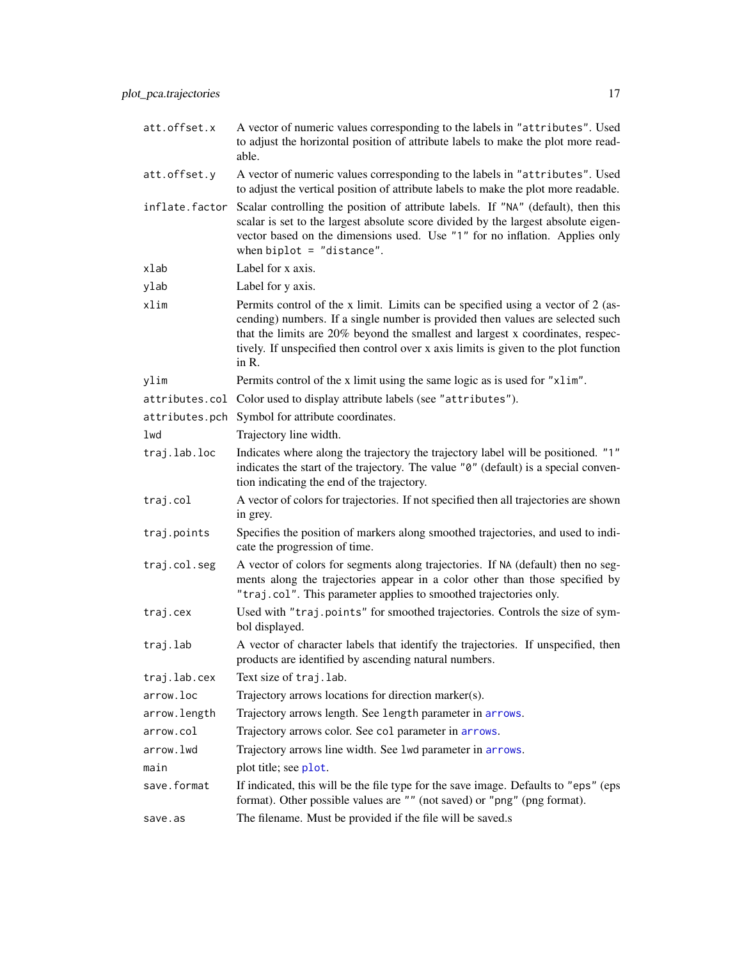<span id="page-16-0"></span>

| att.offset.x   | A vector of numeric values corresponding to the labels in "attributes". Used<br>to adjust the horizontal position of attribute labels to make the plot more read-<br>able.                                                                                                                                                                            |
|----------------|-------------------------------------------------------------------------------------------------------------------------------------------------------------------------------------------------------------------------------------------------------------------------------------------------------------------------------------------------------|
| att.offset.y   | A vector of numeric values corresponding to the labels in "attributes". Used<br>to adjust the vertical position of attribute labels to make the plot more readable.                                                                                                                                                                                   |
| inflate.factor | Scalar controlling the position of attribute labels. If "NA" (default), then this<br>scalar is set to the largest absolute score divided by the largest absolute eigen-<br>vector based on the dimensions used. Use "1" for no inflation. Applies only<br>when $biplot = "distance".$                                                                 |
| xlab           | Label for x axis.                                                                                                                                                                                                                                                                                                                                     |
| ylab           | Label for y axis.                                                                                                                                                                                                                                                                                                                                     |
| xlim           | Permits control of the x limit. Limits can be specified using a vector of 2 (as-<br>cending) numbers. If a single number is provided then values are selected such<br>that the limits are 20% beyond the smallest and largest x coordinates, respec-<br>tively. If unspecified then control over x axis limits is given to the plot function<br>in R. |
| ylim           | Permits control of the x limit using the same logic as is used for "x1im".                                                                                                                                                                                                                                                                            |
|                | attributes.col Color used to display attribute labels (see "attributes").                                                                                                                                                                                                                                                                             |
|                | attributes.pch Symbol for attribute coordinates.                                                                                                                                                                                                                                                                                                      |
| lwd            | Trajectory line width.                                                                                                                                                                                                                                                                                                                                |
| traj.lab.loc   | Indicates where along the trajectory the trajectory label will be positioned. "1"<br>indicates the start of the trajectory. The value "0" (default) is a special conven-<br>tion indicating the end of the trajectory.                                                                                                                                |
| traj.col       | A vector of colors for trajectories. If not specified then all trajectories are shown<br>in grey.                                                                                                                                                                                                                                                     |
| traj.points    | Specifies the position of markers along smoothed trajectories, and used to indi-<br>cate the progression of time.                                                                                                                                                                                                                                     |
| traj.col.seg   | A vector of colors for segments along trajectories. If NA (default) then no seg-<br>ments along the trajectories appear in a color other than those specified by<br>"traj.col". This parameter applies to smoothed trajectories only.                                                                                                                 |
| traj.cex       | Used with "traj.points" for smoothed trajectories. Controls the size of sym-<br>bol displayed.                                                                                                                                                                                                                                                        |
| traj.lab       | A vector of character labels that identify the trajectories. If unspecified, then<br>products are identified by ascending natural numbers.                                                                                                                                                                                                            |
| traj.lab.cex   | Text size of traj.lab.                                                                                                                                                                                                                                                                                                                                |
| arrow.loc      | Trajectory arrows locations for direction marker(s).                                                                                                                                                                                                                                                                                                  |
| arrow.length   | Trajectory arrows length. See length parameter in arrows.                                                                                                                                                                                                                                                                                             |
| arrow.col      | Trajectory arrows color. See col parameter in arrows.                                                                                                                                                                                                                                                                                                 |
| arrow.lwd      | Trajectory arrows line width. See 1wd parameter in arrows.                                                                                                                                                                                                                                                                                            |
| main           | plot title; see plot.                                                                                                                                                                                                                                                                                                                                 |
| save.format    | If indicated, this will be the file type for the save image. Defaults to "eps" (eps<br>format). Other possible values are "" (not saved) or "png" (png format).                                                                                                                                                                                       |
| save.as        | The filename. Must be provided if the file will be saved.s                                                                                                                                                                                                                                                                                            |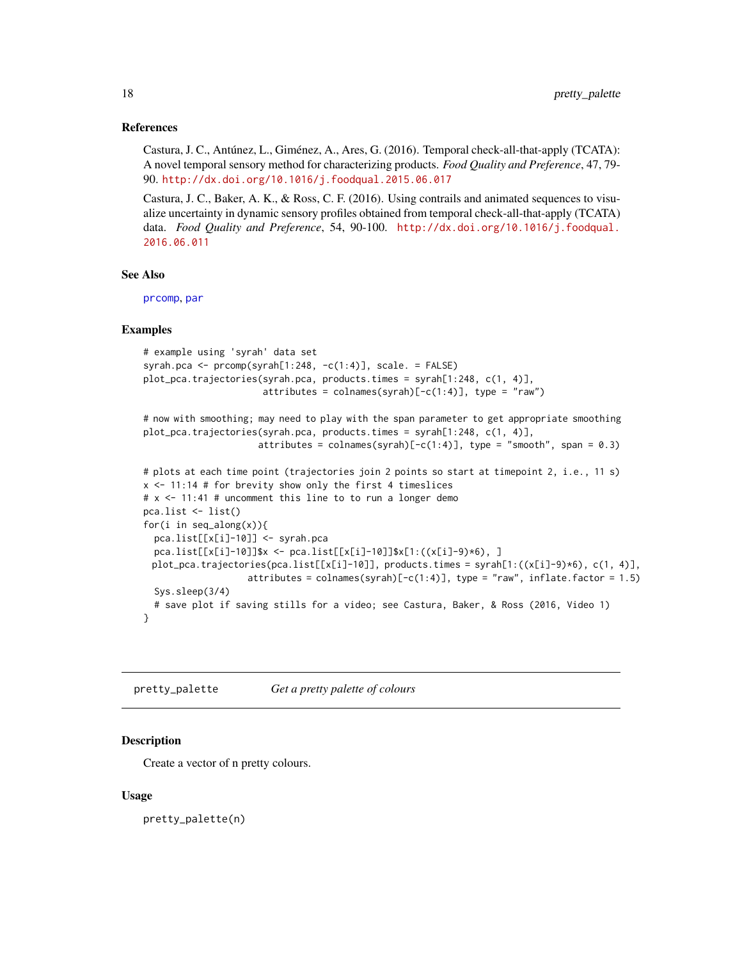#### <span id="page-17-0"></span>References

Castura, J. C., Antúnez, L., Giménez, A., Ares, G. (2016). Temporal check-all-that-apply (TCATA): A novel temporal sensory method for characterizing products. *Food Quality and Preference*, 47, 79- 90. <http://dx.doi.org/10.1016/j.foodqual.2015.06.017>

Castura, J. C., Baker, A. K., & Ross, C. F. (2016). Using contrails and animated sequences to visualize uncertainty in dynamic sensory profiles obtained from temporal check-all-that-apply (TCATA) data. *Food Quality and Preference*, 54, 90-100. [http://dx.doi.org/10.1016/j.foodqual.](http://dx.doi.org/10.1016/j.foodqual.2016.06.011) [2016.06.011](http://dx.doi.org/10.1016/j.foodqual.2016.06.011)

# See Also

[prcomp](#page-0-0), [par](#page-0-0)

# Examples

```
# example using 'syrah' data set
syrah.pca <- prcomp(syrah[1:248, -c(1:4)], scale. = FALSE)
plot_pca.trajectories(syrah.pca, products.times = syrah[1:248, c(1, 4)],
                      attributes = colnames(syrah)[-c(1:4)], type = "raw")# now with smoothing; may need to play with the span parameter to get appropriate smoothing
plot_pca.trajectories(syrah.pca, products.times = syrah[1:248, c(1, 4)],
                     attributes = colnames(syrah)[-c(1:4)], type = "smooth", span = 0.3)# plots at each time point (trajectories join 2 points so start at timepoint 2, i.e., 11 s)
x \le -11:14 # for brevity show only the first 4 timeslices
```

```
# x <- 11:41 # uncomment this line to to run a longer demo
pca.list <- list()
for(i in seq_along(x)){
 pca.list[[x[i]-10]] <- syrah.pca
 pca.list[[x[i]-10]]$x <- pca.list[[x[i]-10]]$x[1:((x[i]-9)*6), ]
 plot_pca.trajectories(pca.list[[x[i]-10]], products.times = syrah[1:((x[i]-9)*6), c(1, 4)],
                   attributes = colnames(syrah)[-c(1:4)], type = "raw", inflate.factor = 1.5)Sys.sleep(3/4)
 # save plot if saving stills for a video; see Castura, Baker, & Ross (2016, Video 1)
}
```
pretty\_palette *Get a pretty palette of colours*

# Description

Create a vector of n pretty colours.

#### Usage

pretty\_palette(n)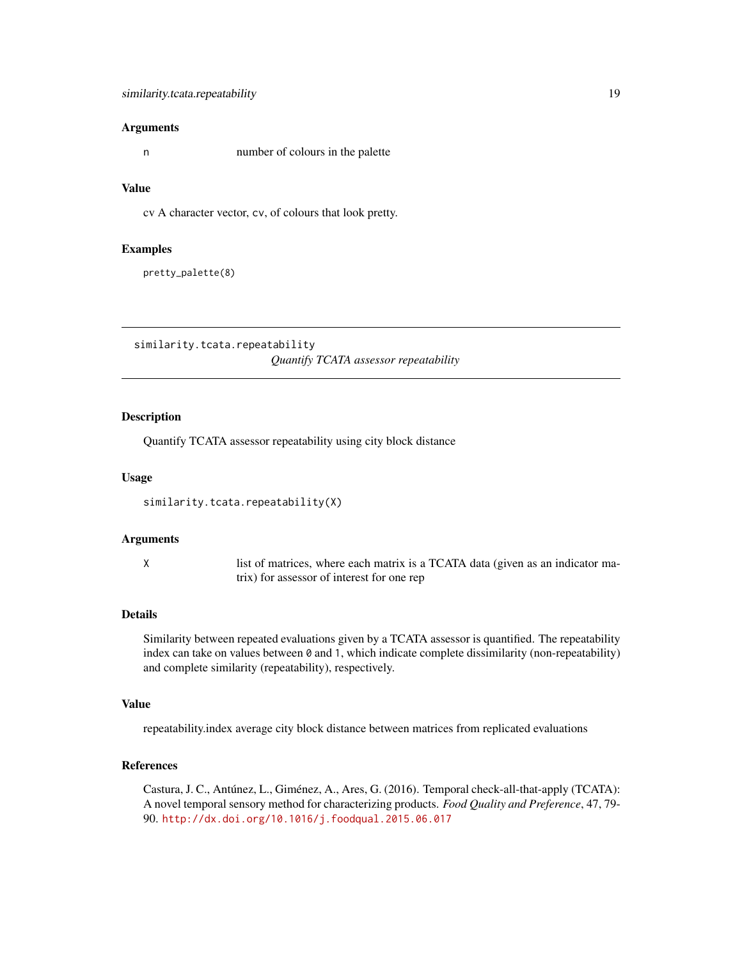<span id="page-18-0"></span>n number of colours in the palette

#### Value

cv A character vector, cv, of colours that look pretty.

#### Examples

pretty\_palette(8)

similarity.tcata.repeatability *Quantify TCATA assessor repeatability*

# Description

Quantify TCATA assessor repeatability using city block distance

#### Usage

similarity.tcata.repeatability(X)

# Arguments

X list of matrices, where each matrix is a TCATA data (given as an indicator matrix) for assessor of interest for one rep

# Details

Similarity between repeated evaluations given by a TCATA assessor is quantified. The repeatability index can take on values between 0 and 1, which indicate complete dissimilarity (non-repeatability) and complete similarity (repeatability), respectively.

#### Value

repeatability.index average city block distance between matrices from replicated evaluations

#### References

Castura, J. C., Antúnez, L., Giménez, A., Ares, G. (2016). Temporal check-all-that-apply (TCATA): A novel temporal sensory method for characterizing products. *Food Quality and Preference*, 47, 79- 90. <http://dx.doi.org/10.1016/j.foodqual.2015.06.017>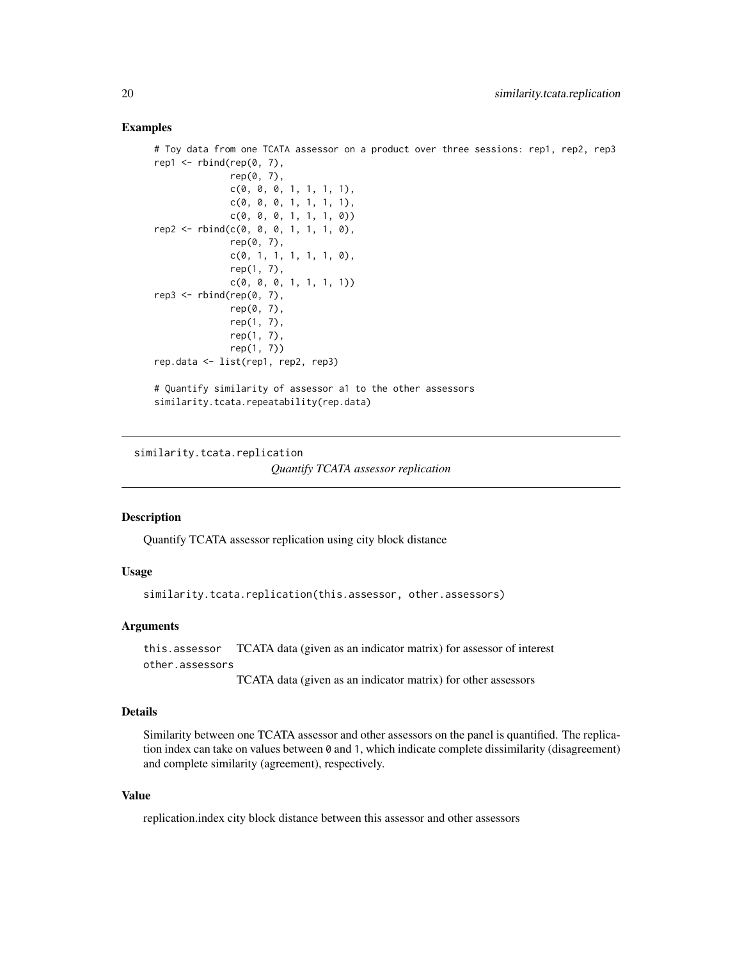# <span id="page-19-0"></span>Examples

```
# Toy data from one TCATA assessor on a product over three sessions: rep1, rep2, rep3
rep1 \le rbind(rep(0, 7),
              rep(0, 7),
              c(0, 0, 0, 1, 1, 1, 1),
              c(0, 0, 0, 1, 1, 1, 1),c(0, 0, 0, 1, 1, 1, 0))
rep2 \leq rbind(c(0, 0, 0, 1, 1, 1, 0)),rep(0, 7),
              c(0, 1, 1, 1, 1, 1, 0),
              rep(1, 7),
              c(0, 0, 0, 1, 1, 1, 1))
rep3 \leq rbind(rep(\theta, 7)),rep(0, 7),
              rep(1, 7),
              rep(1, 7),
              rep(1, 7))
rep.data <- list(rep1, rep2, rep3)
# Quantify similarity of assessor a1 to the other assessors
similarity.tcata.repeatability(rep.data)
```
similarity.tcata.replication

```
Quantify TCATA assessor replication
```
#### **Description**

Quantify TCATA assessor replication using city block distance

# Usage

similarity.tcata.replication(this.assessor, other.assessors)

# Arguments

this.assessor TCATA data (given as an indicator matrix) for assessor of interest other.assessors

TCATA data (given as an indicator matrix) for other assessors

# Details

Similarity between one TCATA assessor and other assessors on the panel is quantified. The replication index can take on values between 0 and 1, which indicate complete dissimilarity (disagreement) and complete similarity (agreement), respectively.

# Value

replication.index city block distance between this assessor and other assessors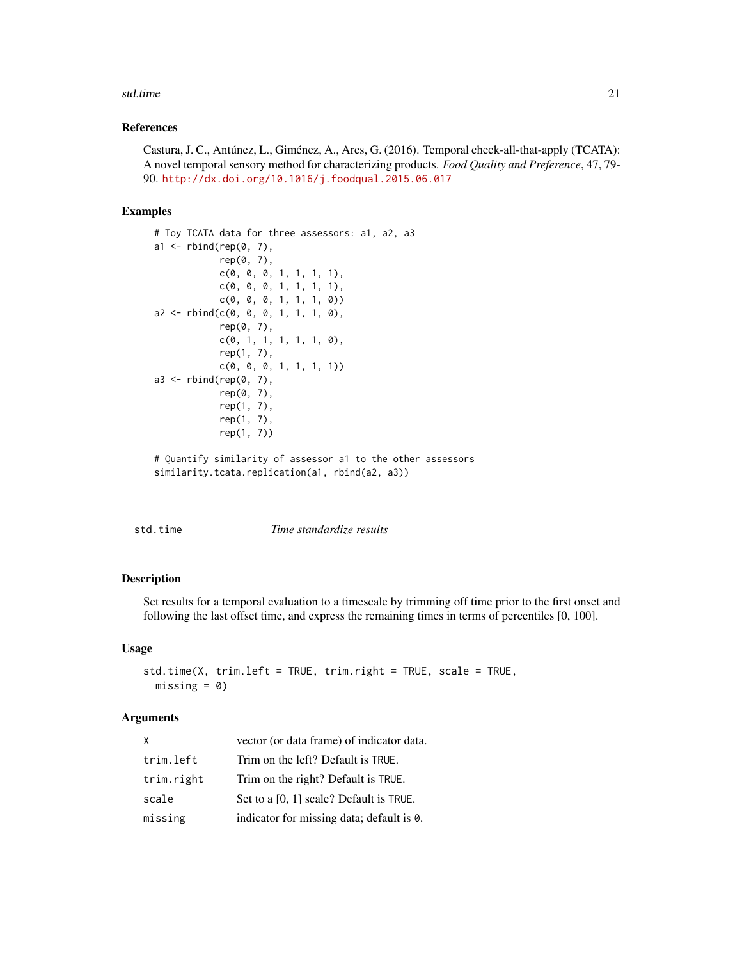#### <span id="page-20-0"></span>std.time 21

# References

Castura, J. C., Antúnez, L., Giménez, A., Ares, G. (2016). Temporal check-all-that-apply (TCATA): A novel temporal sensory method for characterizing products. *Food Quality and Preference*, 47, 79- 90. <http://dx.doi.org/10.1016/j.foodqual.2015.06.017>

# Examples

```
# Toy TCATA data for three assessors: a1, a2, a3
a1 \leftarrow \text{rbind}(\text{rep}(0, 7),rep(0, 7),
             c(0, 0, 0, 1, 1, 1, 1),
            c(0, 0, 0, 1, 1, 1, 1),
             c(0, 0, 0, 1, 1, 1, 0))
a2 \leq -rbind(c(0, 0, 0, 1, 1, 1, 0)),rep(0, 7),
            c(0, 1, 1, 1, 1, 1, 0),
             rep(1, 7),
             c(0, 0, 0, 1, 1, 1, 1))
a3 <- rbind(rep(0, 7),
             rep(0, 7),
             rep(1, 7),
             rep(1, 7),
             rep(1, 7))
# Quantify similarity of assessor a1 to the other assessors
```
similarity.tcata.replication(a1, rbind(a2, a3))

std.time *Time standardize results*

#### Description

Set results for a temporal evaluation to a timescale by trimming off time prior to the first onset and following the last offset time, and express the remaining times in terms of percentiles [0, 100].

# Usage

```
std.time(X, trim.left = TRUE, trim.right = TRUE, scale = TRUE,
 missing = 0
```
#### Arguments

| X          | vector (or data frame) of indicator data. |
|------------|-------------------------------------------|
| trim.left  | Trim on the left? Default is TRUE.        |
| trim.right | Trim on the right? Default is TRUE.       |
| scale      | Set to a [0, 1] scale? Default is TRUE.   |
| missing    | indicator for missing data; default is 0. |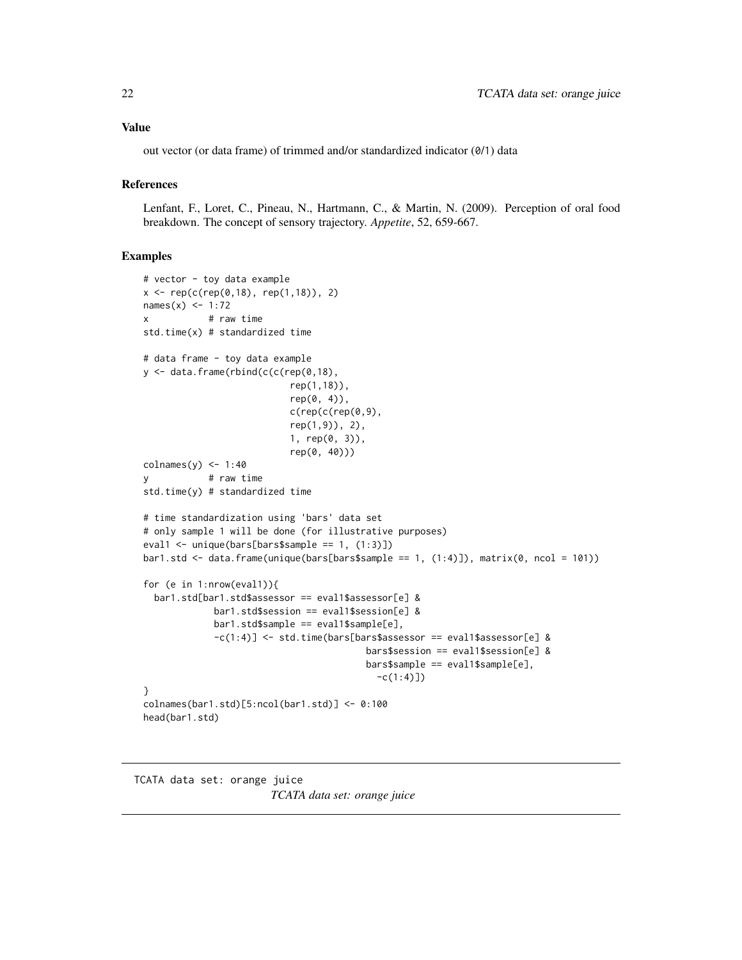# <span id="page-21-0"></span>Value

out vector (or data frame) of trimmed and/or standardized indicator (0/1) data

# References

Lenfant, F., Loret, C., Pineau, N., Hartmann, C., & Martin, N. (2009). Perception of oral food breakdown. The concept of sensory trajectory. *Appetite*, 52, 659-667.

#### Examples

```
# vector - toy data example
x \leq rep(c(rep(\emptyset,18), rep(1,18)), 2)names(x) < -1:72x # raw time
std.time(x) # standardized time
# data frame - toy data example
y \leftarrow data . frame(rbind(c(c(rep(0,18)),rep(1,18)),
                           rep(0, 4),
                           c(rep(c(rep(0,9)),rep(1,9)), 2),
                           1, rep(0, 3)),
                           rep(0, 40)))
colnames(y) <-1:40y # raw time
std.time(y) # standardized time
# time standardization using 'bars' data set
# only sample 1 will be done (for illustrative purposes)
eval1 <- unique(bars[bars$sample == 1, (1:3)])
bar1.std \le data.frame(unique(bars[bars$sample == 1, (1:4)]), matrix(0, ncol = 101))
for (e in 1:nrow(eval1)){
  bar1.std[bar1.std$assessor == eval1$assessor[e] &
             bar1.std$session == eval1$session[e] &
             bar1.std$sample == eval1$sample[e],
             -c(1:4)] <- std.time(bars[bars$assessor == eval1$assessor[e] &
                                         bars$session == eval1$session[e] &
                                         bars$sample == eval1$sample[e],
                                           -c(1:4)]}
colnames(bar1.std)[5:ncol(bar1.std)] <- 0:100
head(bar1.std)
```
TCATA data set: orange juice *TCATA data set: orange juice*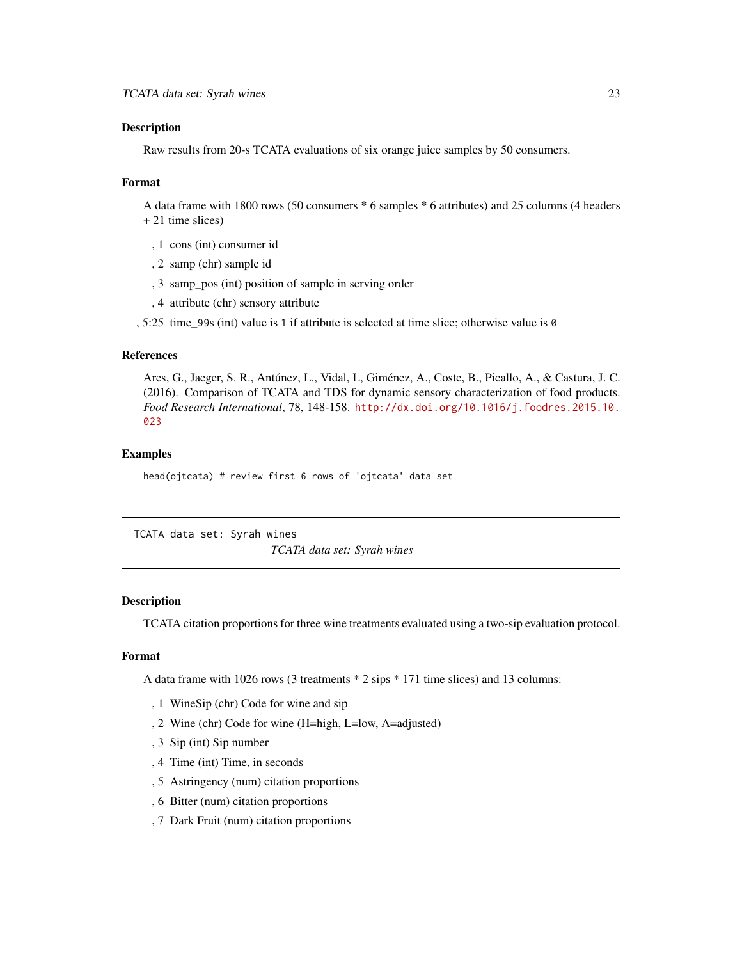# <span id="page-22-0"></span>Description

Raw results from 20-s TCATA evaluations of six orange juice samples by 50 consumers.

#### Format

A data frame with 1800 rows (50 consumers \* 6 samples \* 6 attributes) and 25 columns (4 headers + 21 time slices)

- , 1 cons (int) consumer id
- , 2 samp (chr) sample id
- , 3 samp\_pos (int) position of sample in serving order
- , 4 attribute (chr) sensory attribute

, 5:25 time\_99s (int) value is 1 if attribute is selected at time slice; otherwise value is 0

#### References

Ares, G., Jaeger, S. R., Antúnez, L., Vidal, L, Giménez, A., Coste, B., Picallo, A., & Castura, J. C. (2016). Comparison of TCATA and TDS for dynamic sensory characterization of food products. *Food Research International*, 78, 148-158. [http://dx.doi.org/10.1016/j.foodres.2015.10.](http://dx.doi.org/10.1016/j.foodres.2015.10.023) [023](http://dx.doi.org/10.1016/j.foodres.2015.10.023)

# Examples

head(ojtcata) # review first 6 rows of 'ojtcata' data set

TCATA data set: Syrah wines

*TCATA data set: Syrah wines*

# Description

TCATA citation proportions for three wine treatments evaluated using a two-sip evaluation protocol.

# Format

A data frame with 1026 rows (3 treatments \* 2 sips \* 171 time slices) and 13 columns:

- , 1 WineSip (chr) Code for wine and sip
- , 2 Wine (chr) Code for wine (H=high, L=low, A=adjusted)
- , 3 Sip (int) Sip number
- , 4 Time (int) Time, in seconds
- , 5 Astringency (num) citation proportions
- , 6 Bitter (num) citation proportions
- , 7 Dark Fruit (num) citation proportions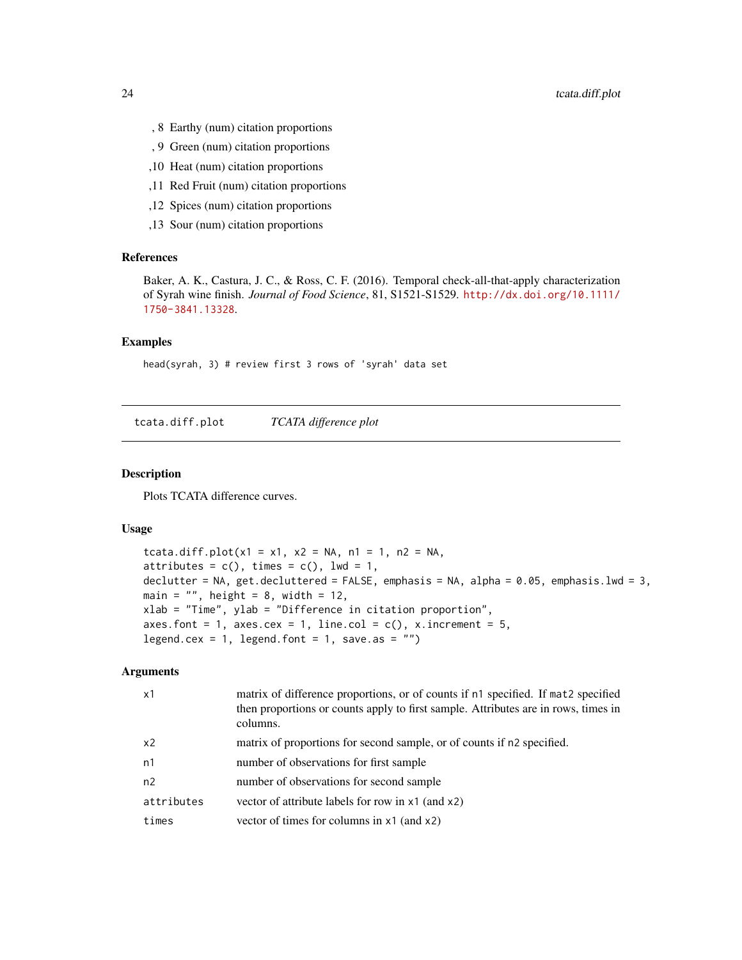- <span id="page-23-0"></span>, 8 Earthy (num) citation proportions
- , 9 Green (num) citation proportions
- ,10 Heat (num) citation proportions
- ,11 Red Fruit (num) citation proportions
- ,12 Spices (num) citation proportions
- ,13 Sour (num) citation proportions

# References

Baker, A. K., Castura, J. C., & Ross, C. F. (2016). Temporal check-all-that-apply characterization of Syrah wine finish. *Journal of Food Science*, 81, S1521-S1529. [http://dx.doi.org/10.1111/](http://dx.doi.org/10.1111/1750-3841.13328) [1750-3841.13328](http://dx.doi.org/10.1111/1750-3841.13328).

# Examples

head(syrah, 3) # review first 3 rows of 'syrah' data set

tcata.diff.plot *TCATA difference plot*

# **Description**

Plots TCATA difference curves.

#### Usage

```
tcata.diff.plot(x1 = x1, x2 = NA, n1 = 1, n2 = NA,
attributes = c(), times = c(), lwd = 1,
declutter = NA, get.decluttered = FALSE, emphasis = NA, alpha = 0.05, emphasis.lwd = 3,
main = ", height = 8, width = 12,
xlab = "Time", ylab = "Difference in citation proportion",
axes.font = 1, axes.cex = 1, line.col = c(), x.increment = 5,
legend.cex = 1, legend.font = 1, save.as = ")
```
# Arguments

| $\times$ 1 | matrix of difference proportions, or of counts if n1 specified. If mat2 specified<br>then proportions or counts apply to first sample. Attributes are in rows, times in<br>columns. |
|------------|-------------------------------------------------------------------------------------------------------------------------------------------------------------------------------------|
| x2         | matrix of proportions for second sample, or of counts if n2 specified.                                                                                                              |
| n1         | number of observations for first sample                                                                                                                                             |
| n2         | number of observations for second sample                                                                                                                                            |
| attributes | vector of attribute labels for row in x1 (and x2)                                                                                                                                   |
| times      | vector of times for columns in $x1$ (and $x2$ )                                                                                                                                     |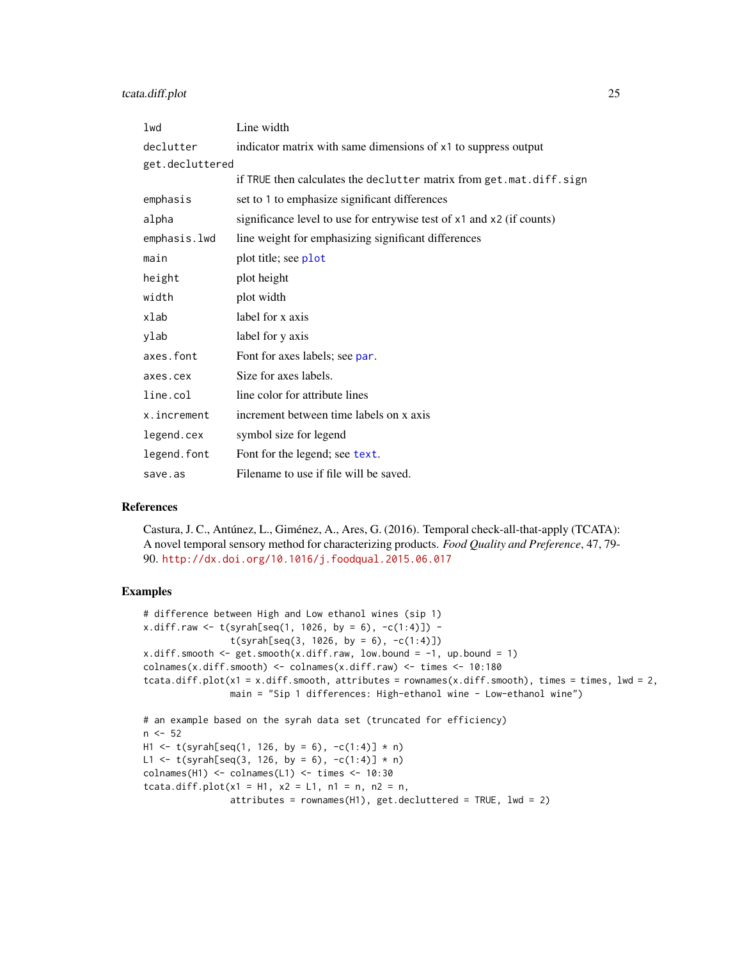<span id="page-24-0"></span>

| 1wd             | Line width                                                            |
|-----------------|-----------------------------------------------------------------------|
| declutter       | indicator matrix with same dimensions of x1 to suppress output        |
| get.decluttered |                                                                       |
|                 | if TRUE then calculates the declutter matrix from get.mat.diff.sign   |
| emphasis        | set to 1 to emphasize significant differences                         |
| alpha           | significance level to use for entrywise test of x1 and x2 (if counts) |
| emphasis.lwd    | line weight for emphasizing significant differences                   |
| main            | plot title; see plot                                                  |
| height          | plot height                                                           |
| width           | plot width                                                            |
| xlab            | label for x axis                                                      |
| ylab            | label for y axis                                                      |
| axes.font       | Font for axes labels; see par.                                        |
| axes.cex        | Size for axes labels.                                                 |
| line.col        | line color for attribute lines                                        |
| x.increment     | increment between time labels on x axis                               |
| legend.cex      | symbol size for legend                                                |
| legend.font     | Font for the legend; see text.                                        |
| save.as         | Filename to use if file will be saved.                                |

# References

Castura, J. C., Antúnez, L., Giménez, A., Ares, G. (2016). Temporal check-all-that-apply (TCATA): A novel temporal sensory method for characterizing products. *Food Quality and Preference*, 47, 79- 90. <http://dx.doi.org/10.1016/j.foodqual.2015.06.017>

```
# difference between High and Low ethanol wines (sip 1)
x.diff.raw \leq t(syrah[seq(1, 1026, by = 6), -c(1:4)]) -t(syrah[seq(3, 1026, by = 6), -c(1:4)])x.diff.smooth \leq get.smooth(x.diff.raw, low.bound = -1, up.bound = 1)
colnames(x.diff.smooth) <- colnames(x.diff.raw) <- times <- 10:180
tcata.diff.plot(x1 = x.diff.smooth, attributes = rownames(x.diff.smooth), times = times, lwd = 2,
                main = "Sip 1 differences: High-ethanol wine - Low-ethanol wine")
# an example based on the syrah data set (truncated for efficiency)
n < -52H1 <- t(syrah[seq(1, 126, by = 6), -c(1:4)] * n)
L1 <- t(syrah[seq(3, 126, by = 6), -c(1:4)] * n)
colnames(H1) <- colnames(L1) <- times <- 10:30
tcata.diff.plot(x1 = H1, x2 = L1, n1 = n, n2 = n,
                attributes = rownames(H1), get.decluttered = TRUE, lwd = 2)
```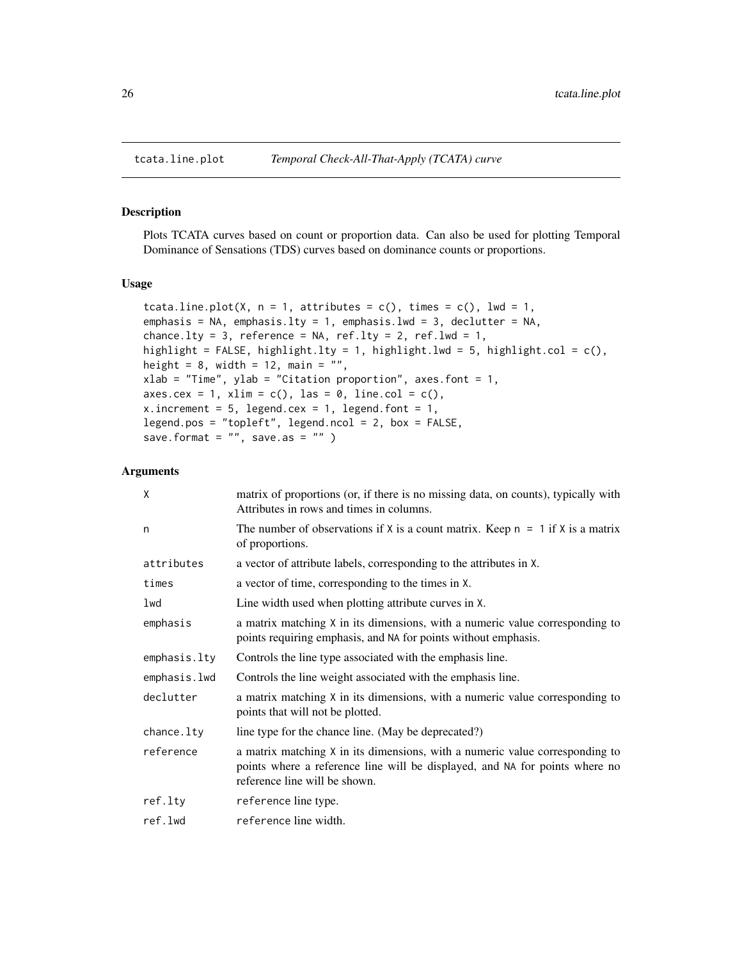# Description

Plots TCATA curves based on count or proportion data. Can also be used for plotting Temporal Dominance of Sensations (TDS) curves based on dominance counts or proportions.

# Usage

```
tcata.line.plot(X, n = 1, attributes = c(), times = c(), lwd = 1,
emphasis = NA, emphasis.lty = 1, emphasis.lwd = 3, declutter = NA,
chance.lty = 3, reference = NA, ref.lty = 2, ref.lwd = 1,
highlight = FALSE, highlight.lty = 1, highlight.lwd = 5, highlight.col = c(),
height = 8, width = 12, main = "",
xlab = "Time", ylab = "Citation proportion", axes.font = 1,
axes.cex = 1, xlim = c(), las = 0, line.col = c(),
x.increment = 5, legend.cex = 1, legend.font = 1,
legend.pos = "topleft", legend.ncol = 2, box = FALSE,
save.format = ", save.as = ")
```
# Arguments

| X            | matrix of proportions (or, if there is no missing data, on counts), typically with<br>Attributes in rows and times in columns.                                                               |
|--------------|----------------------------------------------------------------------------------------------------------------------------------------------------------------------------------------------|
| n            | The number of observations if X is a count matrix. Keep $n = 1$ if X is a matrix<br>of proportions.                                                                                          |
| attributes   | a vector of attribute labels, corresponding to the attributes in X.                                                                                                                          |
| times        | a vector of time, corresponding to the times in X.                                                                                                                                           |
| lwd          | Line width used when plotting attribute curves in X.                                                                                                                                         |
| emphasis     | a matrix matching X in its dimensions, with a numeric value corresponding to<br>points requiring emphasis, and NA for points without emphasis.                                               |
| emphasis.lty | Controls the line type associated with the emphasis line.                                                                                                                                    |
| emphasis.lwd | Controls the line weight associated with the emphasis line.                                                                                                                                  |
| declutter    | a matrix matching X in its dimensions, with a numeric value corresponding to<br>points that will not be plotted.                                                                             |
| chance.lty   | line type for the chance line. (May be deprecated?)                                                                                                                                          |
| reference    | a matrix matching X in its dimensions, with a numeric value corresponding to<br>points where a reference line will be displayed, and NA for points where no<br>reference line will be shown. |
| ref.lty      | reference line type.                                                                                                                                                                         |
| ref.lwd      | reference line width.                                                                                                                                                                        |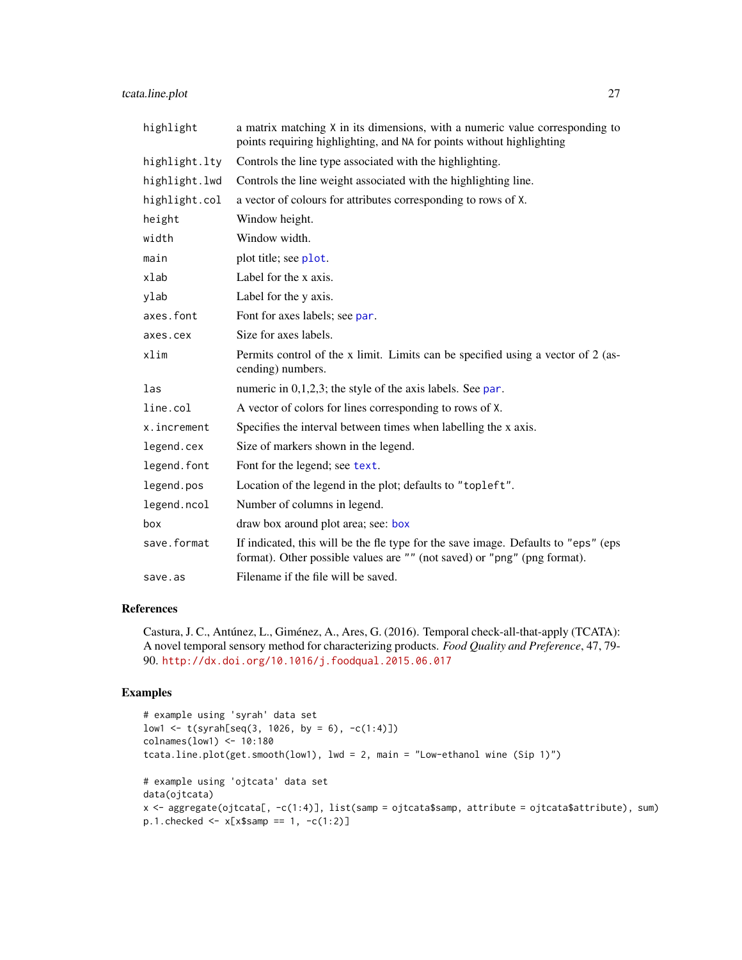# <span id="page-26-0"></span>tcata.line.plot 27

| highlight     | a matrix matching X in its dimensions, with a numeric value corresponding to<br>points requiring highlighting, and NA for points without highlighting          |
|---------------|----------------------------------------------------------------------------------------------------------------------------------------------------------------|
| highlight.lty | Controls the line type associated with the highlighting.                                                                                                       |
| highlight.lwd | Controls the line weight associated with the highlighting line.                                                                                                |
| highlight.col | a vector of colours for attributes corresponding to rows of X.                                                                                                 |
| height        | Window height.                                                                                                                                                 |
| width         | Window width.                                                                                                                                                  |
| main          | plot title; see plot.                                                                                                                                          |
| xlab          | Label for the x axis.                                                                                                                                          |
| ylab          | Label for the y axis.                                                                                                                                          |
| axes.font     | Font for axes labels; see par.                                                                                                                                 |
| axes.cex      | Size for axes labels.                                                                                                                                          |
| xlim          | Permits control of the x limit. Limits can be specified using a vector of 2 (as-<br>cending) numbers.                                                          |
| las           | numeric in $0,1,2,3$ ; the style of the axis labels. See par.                                                                                                  |
| line.col      | A vector of colors for lines corresponding to rows of X.                                                                                                       |
| x.increment   | Specifies the interval between times when labelling the x axis.                                                                                                |
| legend.cex    | Size of markers shown in the legend.                                                                                                                           |
| legend.font   | Font for the legend; see text.                                                                                                                                 |
| legend.pos    | Location of the legend in the plot; defaults to "topleft".                                                                                                     |
| legend.ncol   | Number of columns in legend.                                                                                                                                   |
| box           | draw box around plot area; see: box                                                                                                                            |
| save.format   | If indicated, this will be the fle type for the save image. Defaults to "eps" (eps<br>format). Other possible values are "" (not saved) or "png" (png format). |
| save.as       | Filename if the file will be saved.                                                                                                                            |

# References

Castura, J. C., Antúnez, L., Giménez, A., Ares, G. (2016). Temporal check-all-that-apply (TCATA): A novel temporal sensory method for characterizing products. *Food Quality and Preference*, 47, 79- 90. <http://dx.doi.org/10.1016/j.foodqual.2015.06.017>

```
# example using 'syrah' data set
low1 <- t(syrah[seq(3, 1026, by = 6), -c(1:4)])
colnames(low1) <- 10:180
tcata.line.plot(get.smooth(low1), lwd = 2, main = "Low-ethanol wine (Sip 1)")
# example using 'ojtcata' data set
data(ojtcata)
x <- aggregate(ojtcata[, -c(1:4)], list(samp = ojtcata$samp, attribute = ojtcata$attribute), sum)
p.1.checked <- x[x$samp == 1, -c(1:2)]
```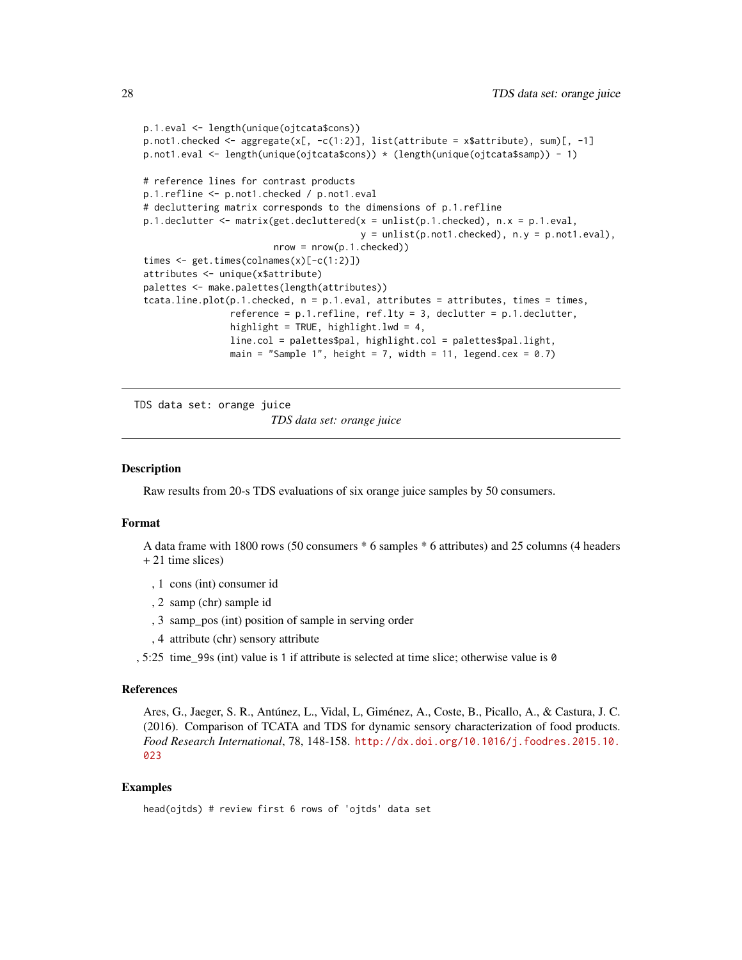```
p.1.eval <- length(unique(ojtcata$cons))
p.not1.checked <- aggregate(x[, -c(1:2)], list(attribute = x$attribute), sum[, -1]p.not1.eval <- length(unique(ojtcata$cons)) * (length(unique(ojtcata$samp)) - 1)
# reference lines for contrast products
p.1.refline <- p.not1.checked / p.not1.eval
# decluttering matrix corresponds to the dimensions of p.1.refline
p.1.declutter <- matrix(get.decluttered(x = unlist(p.1.checked), n.x = p.1.eval,
                                         y = \text{unlist}(p.\text{not1}. \text{checked}), n.y = p.\text{not1.} \text{eval}),nrow = nrow(p.1.checked)times <- get.times(colnames(x)[-c(1:2)])
attributes <- unique(x$attribute)
palettes <- make.palettes(length(attributes))
tcata.line.plot(p.1.checked, n = p.1.eval, attributes = attributes, times = times,
                reference = p.1.refline, ref.lty = 3, declutter = p.1. declutter,
                highlight = TRUE, highlight.lwd = 4,
                line.col = palettes$pal, highlight.col = palettes$pal.light,
                main = "Sample 1", height = 7, width = 11, legend.cex = 0.7)
```
TDS data set: orange juice

*TDS data set: orange juice*

# **Description**

Raw results from 20-s TDS evaluations of six orange juice samples by 50 consumers.

# Format

A data frame with 1800 rows (50 consumers \* 6 samples \* 6 attributes) and 25 columns (4 headers + 21 time slices)

- , 1 cons (int) consumer id
- , 2 samp (chr) sample id
- , 3 samp\_pos (int) position of sample in serving order
- , 4 attribute (chr) sensory attribute
- , 5:25 time\_99s (int) value is 1 if attribute is selected at time slice; otherwise value is 0

#### References

Ares, G., Jaeger, S. R., Antúnez, L., Vidal, L, Giménez, A., Coste, B., Picallo, A., & Castura, J. C. (2016). Comparison of TCATA and TDS for dynamic sensory characterization of food products. *Food Research International*, 78, 148-158. [http://dx.doi.org/10.1016/j.foodres.2015.10.](http://dx.doi.org/10.1016/j.foodres.2015.10.023) [023](http://dx.doi.org/10.1016/j.foodres.2015.10.023)

```
head(ojtds) # review first 6 rows of 'ojtds' data set
```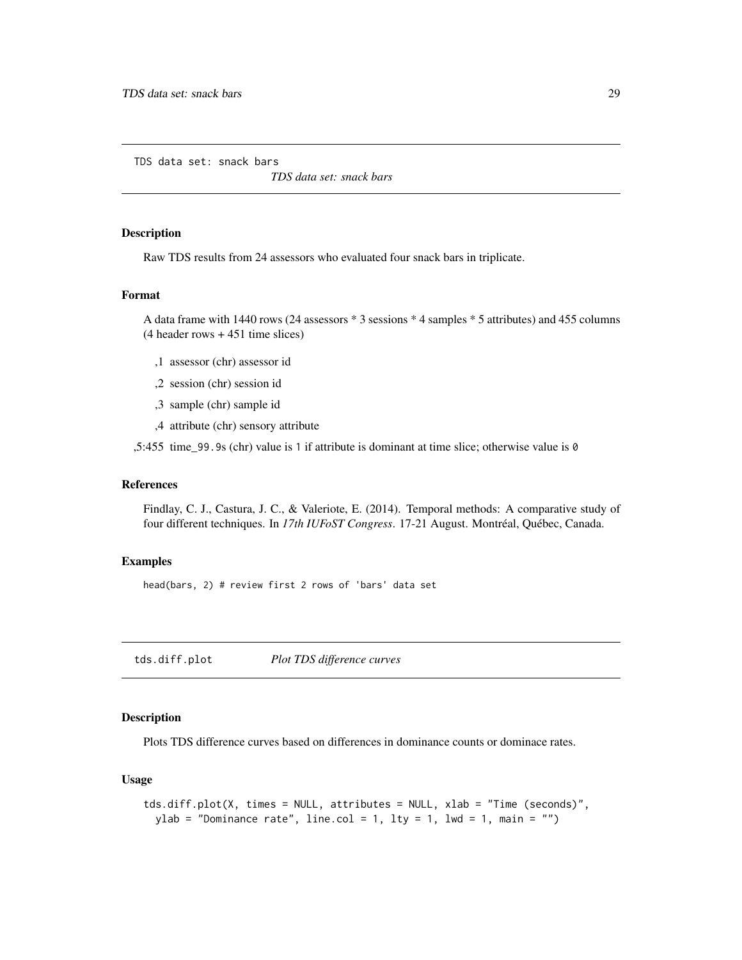<span id="page-28-0"></span>TDS data set: snack bars

*TDS data set: snack bars*

# Description

Raw TDS results from 24 assessors who evaluated four snack bars in triplicate.

# Format

A data frame with 1440 rows (24 assessors \* 3 sessions \* 4 samples \* 5 attributes) and 455 columns (4 header rows + 451 time slices)

- ,1 assessor (chr) assessor id
- ,2 session (chr) session id
- ,3 sample (chr) sample id
- ,4 attribute (chr) sensory attribute

,5:455 time\_99.9s (chr) value is 1 if attribute is dominant at time slice; otherwise value is 0

#### References

Findlay, C. J., Castura, J. C., & Valeriote, E. (2014). Temporal methods: A comparative study of four different techniques. In *17th IUFoST Congress*. 17-21 August. Montréal, Québec, Canada.

# Examples

head(bars, 2) # review first 2 rows of 'bars' data set

tds.diff.plot *Plot TDS difference curves*

# Description

Plots TDS difference curves based on differences in dominance counts or dominace rates.

# Usage

```
tds.diff.plot(X, times = NULL, attributes = NULL, xlab = "Time (seconds)",
 ylab = "Dominance rate", line.col = 1, lty = 1, lwd = 1, main = "")
```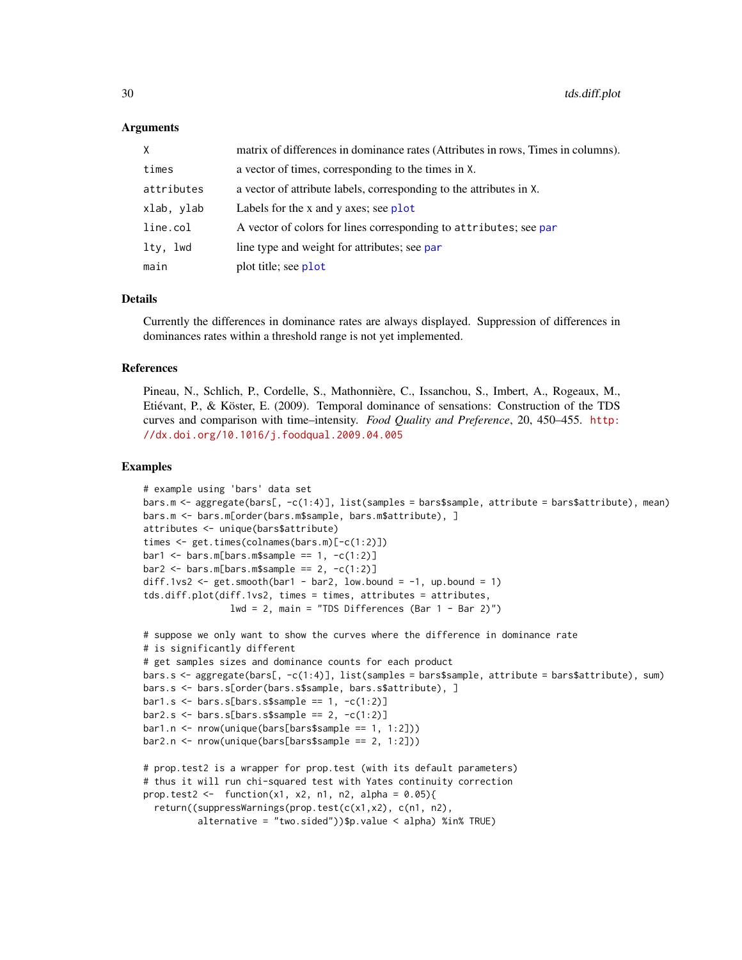<span id="page-29-0"></span>

| X           | matrix of differences in dominance rates (Attributes in rows, Times in columns). |
|-------------|----------------------------------------------------------------------------------|
| times       | a vector of times, corresponding to the times in X.                              |
| attributes  | a vector of attribute labels, corresponding to the attributes in X.              |
| xlab, ylab  | Labels for the x and y axes; see $plot$                                          |
| line.col    | A vector of colors for lines corresponding to attributes; see par                |
| lty,<br>lwd | line type and weight for attributes; see par                                     |
| main        | plot title; see plot                                                             |

# Details

Currently the differences in dominance rates are always displayed. Suppression of differences in dominances rates within a threshold range is not yet implemented.

#### References

Pineau, N., Schlich, P., Cordelle, S., Mathonnière, C., Issanchou, S., Imbert, A., Rogeaux, M., Etiévant, P., & Köster, E. (2009). Temporal dominance of sensations: Construction of the TDS curves and comparison with time–intensity. *Food Quality and Preference*, 20, 450–455. [http:](http://dx.doi.org/10.1016/j.foodqual.2009.04.005) [//dx.doi.org/10.1016/j.foodqual.2009.04.005](http://dx.doi.org/10.1016/j.foodqual.2009.04.005)

```
# example using 'bars' data set
bars.m <- aggregate(bars[, -c(1:4)], list(samples = bars$sample, attribute = bars$attribute), mean)
bars.m <- bars.m[order(bars.m$sample, bars.m$attribute), ]
attributes <- unique(bars$attribute)
times <- get.times(colnames(bars.m)[-c(1:2)])
bar1 <- bars.m[bars.m$sample == 1, -c(1:2)]bar2 < - \text{bars.m[bars.m$sample == 2, -c(1:2)]}diff.1vs2 <- get.smooth(bar1 - bar2, low.bound = -1, up.bound = 1)
tds.diff.plot(diff.1vs2, times = times, attributes = attributes,
                lwd = 2, main = "TDS Differences (Bar 1 - Bar 2)")
# suppose we only want to show the curves where the difference in dominance rate
# is significantly different
# get samples sizes and dominance counts for each product
bars.s <- aggregate(bars[, -c(1:4)], list(samples = bars$sample, attribute = bars$attribute), sum)
bars.s <- bars.s[order(bars.s$sample, bars.s$attribute), ]
bar1.s < - bars.s[bars.s$sample == 1, -c(1:2)]bar2.s < - bars.s[bars.s$sample == 2, -c(1:2)]bar1.n \leftarrow new(unique(bars[barsssample == 1, 1:2]))bar2.n <- nrow(unique(bars[bars$sample == 2, 1:2]))
# prop.test2 is a wrapper for prop.test (with its default parameters)
# thus it will run chi-squared test with Yates continuity correction
prop.test2 <- function(x1, x2, n1, n2, alpha = 0.05){
  return((suppressWarnings(prop.test(c(x1,x2), c(n1, n2),
          alternative = "two.sided"))$p.value < alpha) %in% TRUE)
```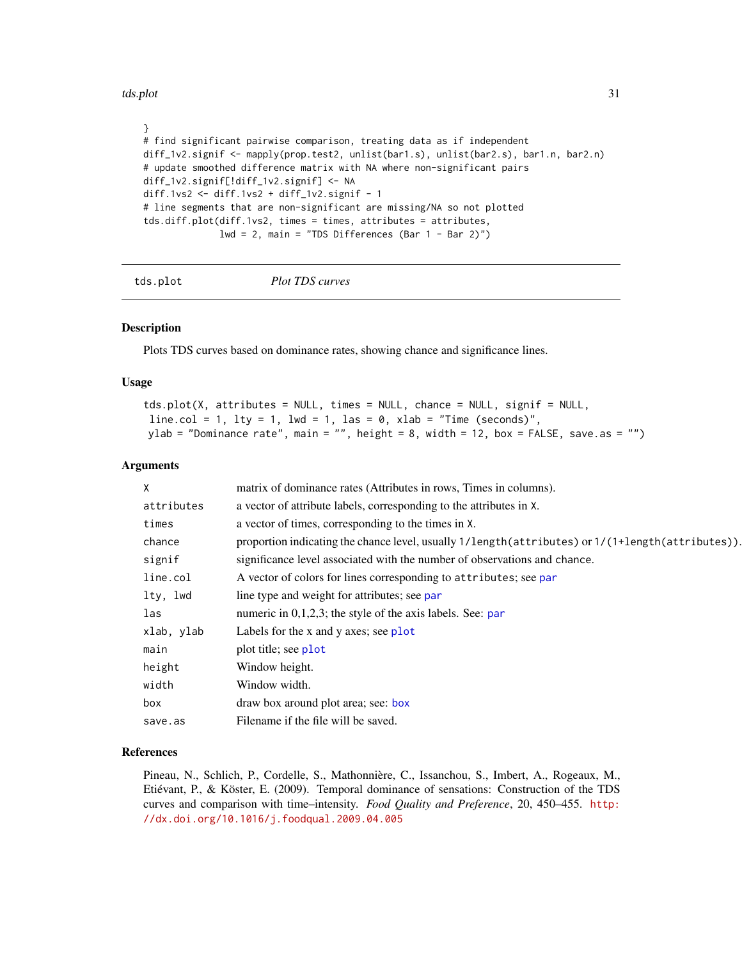<span id="page-30-0"></span>tds.plot 31

```
}
# find significant pairwise comparison, treating data as if independent
diff_1v2.signif <- mapply(prop.test2, unlist(bar1.s), unlist(bar2.s), bar1.n, bar2.n)
# update smoothed difference matrix with NA where non-significant pairs
diff_1v2.signif[!diff_1v2.signif] <- NA
diff.1vs2 <- diff.1vs2 + diff_1v2.signif - 1
# line segments that are non-significant are missing/NA so not plotted
tds.diff.plot(diff.1vs2, times = times, attributes = attributes,
              1wd = 2, main = "TDS Differences (Bar 1 - Bar 2)")
```
tds.plot *Plot TDS curves*

# **Description**

Plots TDS curves based on dominance rates, showing chance and significance lines.

# Usage

```
tds.plot(X, attributes = NULL, times = NULL, chance = NULL, signif = NULL,
line.col = 1, lty = 1, lwd = 1, las = 0, xlab = "Time (seconds)",
ylab = "Dominance rate", main = "", height = 8, width = 12, box = FALSE, save.as = "")
```
# Arguments

| Χ          | matrix of dominance rates (Attributes in rows, Times in columns).                                 |
|------------|---------------------------------------------------------------------------------------------------|
| attributes | a vector of attribute labels, corresponding to the attributes in X.                               |
| times      | a vector of times, corresponding to the times in X.                                               |
| chance     | proportion indicating the chance level, usually 1/length(attributes) or 1/(1+length(attributes)). |
| signif     | significance level associated with the number of observations and chance.                         |
| line.col   | A vector of colors for lines corresponding to attributes; see par                                 |
| lty, lwd   | line type and weight for attributes; see par                                                      |
| las        | numeric in $0,1,2,3$ ; the style of the axis labels. See: par                                     |
| xlab, ylab | Labels for the x and y axes; see $plot$                                                           |
| main       | plot title; see plot                                                                              |
| height     | Window height.                                                                                    |
| width      | Window width.                                                                                     |
| box        | draw box around plot area; see: box                                                               |
| save.as    | Filename if the file will be saved.                                                               |
|            |                                                                                                   |

# References

Pineau, N., Schlich, P., Cordelle, S., Mathonnière, C., Issanchou, S., Imbert, A., Rogeaux, M., Etiévant, P., & Köster, E. (2009). Temporal dominance of sensations: Construction of the TDS curves and comparison with time–intensity. *Food Quality and Preference*, 20, 450–455. [http:](http://dx.doi.org/10.1016/j.foodqual.2009.04.005) [//dx.doi.org/10.1016/j.foodqual.2009.04.005](http://dx.doi.org/10.1016/j.foodqual.2009.04.005)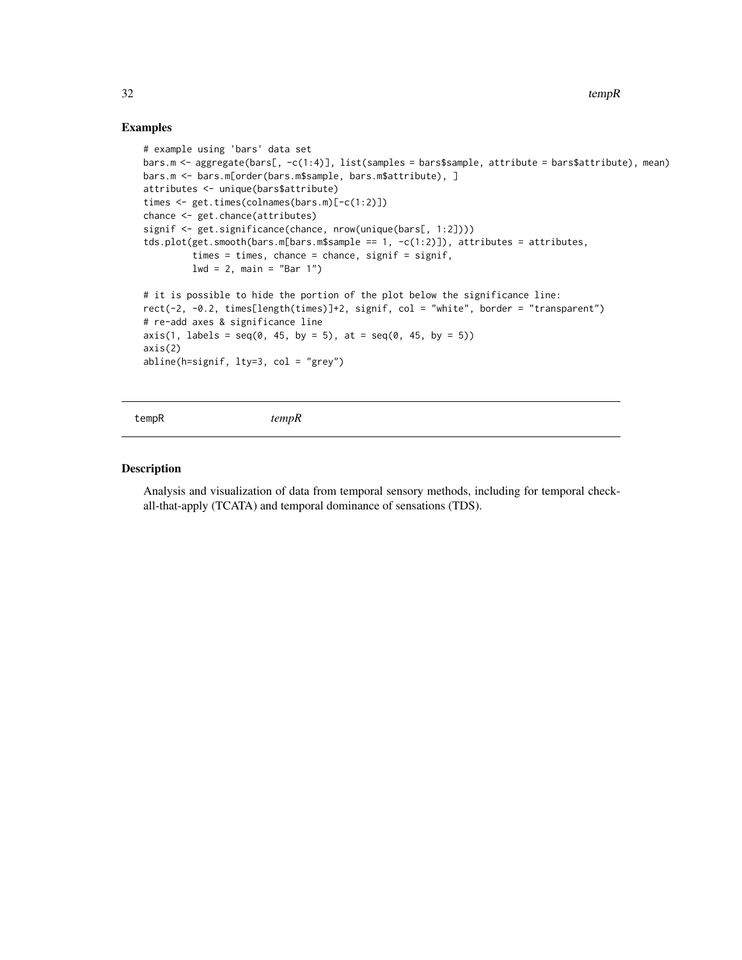# Examples

```
# example using 'bars' data set
bars.m <- aggregate(bars[, -c(1:4)], list(samples = bars$sample, attribute = bars$attribute), mean)
bars.m <- bars.m[order(bars.m$sample, bars.m$attribute), ]
attributes <- unique(bars$attribute)
times <- get.times(colnames(bars.m)[-c(1:2)])
chance <- get.chance(attributes)
signif <- get.significance(chance, nrow(unique(bars[, 1:2])))
tds.plot(get.smooth(bars.m[bars.m$sample == 1, -c(1:2)]), attributes = attributes,
         times = times, chance = chance, signif = signif,
         lwd = 2, main = "Bar 1")
# it is possible to hide the portion of the plot below the significance line:
rect(-2, -0.2, times[length(times)]+2, signif, col = "white", border = "transparent")
# re-add axes & significance line
axis(1, labels = seq(0, 45, by = 5), at = seq(0, 45, by = 5))axis(2)
abline(h=signif, lty=3, col = "grey")
```
tempR *tempR*

# Description

Analysis and visualization of data from temporal sensory methods, including for temporal checkall-that-apply (TCATA) and temporal dominance of sensations (TDS).

<span id="page-31-0"></span>